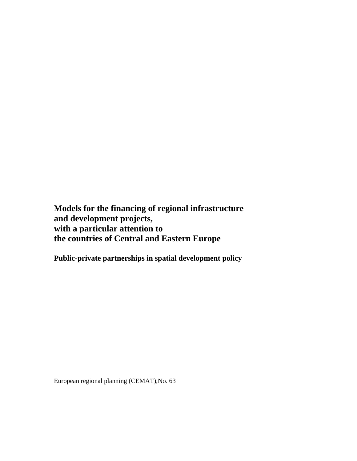**Models for the financing of regional infrastructure and development projects, with a particular attention to the countries of Central and Eastern Europe** 

**Public-private partnerships in spatial development policy** 

European regional planning (CEMAT),No. 63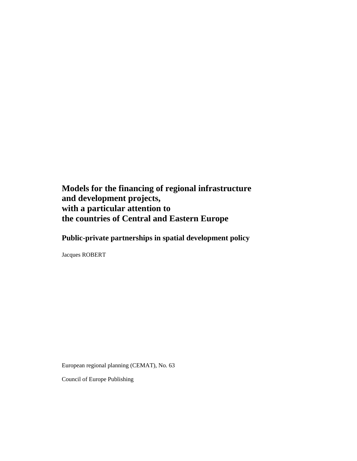**Models for the financing of regional infrastructure and development projects, with a particular attention to the countries of Central and Eastern Europe** 

**Public-private partnerships in spatial development policy** 

Jacques ROBERT

European regional planning (CEMAT), No. 63

Council of Europe Publishing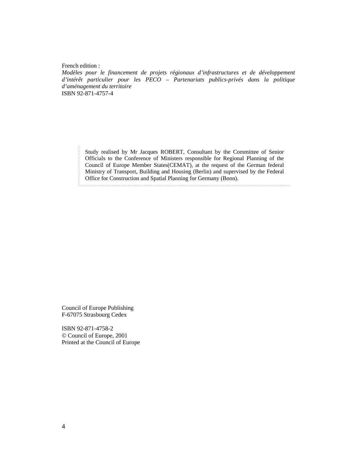French edition :

*Modèles pour le financement de projets régionaux d'infrastructures et de développement d'intérêt particulier pour les PECO – Partenariats publics-privés dans la politique d'aménagement du territoire*  ISBN 92-871-4757-4

Study realised by Mr Jacques ROBERT, Consultant by the Committee of Senior Officials to the Conference of Ministers responsible for Regional Planning of the Council of Europe Member States(CEMAT), at the request of the German federal Ministry of Transport, Building and Housing (Berlin) and supervised by the Federal Office for Construction and Spatial Planning for Germany (Bonn).

Council of Europe Publishing F-67075 Strasbourg Cedex

ISBN 92-871-4758-2 © Council of Europe, 2001 Printed at the Council of Europe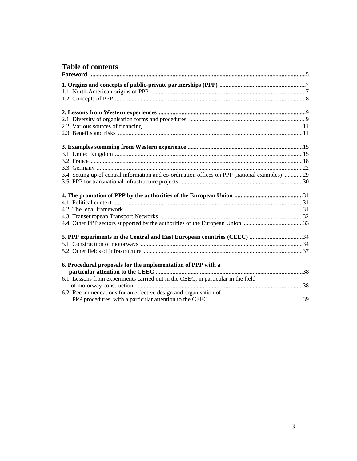# Table of contents

| 3.4. Setting up of central information and co-ordination offices on PPP (national examples) 29 |  |
|------------------------------------------------------------------------------------------------|--|
|                                                                                                |  |
|                                                                                                |  |
|                                                                                                |  |
|                                                                                                |  |
|                                                                                                |  |
|                                                                                                |  |
|                                                                                                |  |
| 5. PPP experiments in the Central and East European countries (CEEC) 34                        |  |
|                                                                                                |  |
|                                                                                                |  |
| 6. Procedural proposals for the implementation of PPP with a                                   |  |
|                                                                                                |  |
| 6.1. Lessons from experiments carried out in the CEEC, in particular in the field              |  |
|                                                                                                |  |
|                                                                                                |  |
|                                                                                                |  |
| 6.2. Recommendations for an effective design and organisation of                               |  |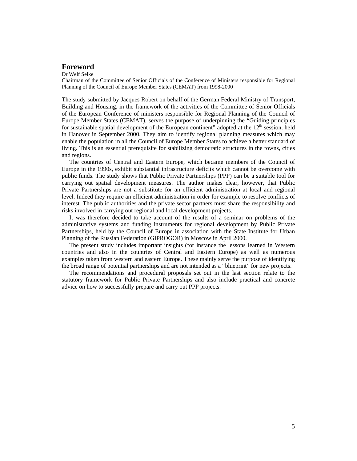# **Foreword**

Dr Welf Selke

Chairman of the Committee of Senior Officials of the Conference of Ministers responsible for Regional Planning of the Council of Europe Member States (CEMAT) from 1998-2000

The study submitted by Jacques Robert on behalf of the German Federal Ministry of Transport, Building and Housing, in the framework of the activities of the Committee of Senior Officials of the European Conference of ministers responsible for Regional Planning of the Council of Europe Member States (CEMAT), serves the purpose of underpinning the "Guiding principles for sustainable spatial development of the European continent" adopted at the  $12<sup>th</sup>$  session, held in Hanover in September 2000. They aim to identify regional planning measures which may enable the population in all the Council of Europe Member States to achieve a better standard of living. This is an essential prerequisite for stabilizing democratic structures in the towns, cities and regions.

 The countries of Central and Eastern Europe, which became members of the Council of Europe in the 1990s, exhibit substantial infrastructure deficits which cannot be overcome with public funds. The study shows that Public Private Partnerships (PPP) can be a suitable tool for carrying out spatial development measures. The author makes clear, however, that Public Private Partnerships are not a substitute for an efficient administration at local and regional level. Indeed they require an efficient administration in order for example to resolve conflicts of interest. The public authorities and the private sector partners must share the responsibility and risks involved in carrying out regional and local development projects.

 It was therefore decided to take account of the results of a seminar on problems of the administrative systems and funding instruments for regional development by Public Private Partnerships, held by the Council of Europe in association with the State Institute for Urban Planning of the Russian Federation (GIPROGOR) in Moscow in April 2000.

 The present study includes important insights (for instance the lessons learned in Western countries and also in the countries of Central and Eastern Europe) as well as numerous examples taken from western and eastern Europe. These mainly serve the purpose of identifying the broad range of potential partnerships and are not intended as a "blueprint" for new projects.

 The recommendations and procedural proposals set out in the last section relate to the statutory framework for Public Private Partnerships and also include practical and concrete advice on how to successfully prepare and carry out PPP projects.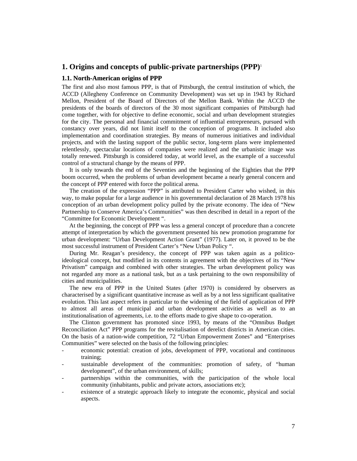# **1. Origins and concepts of public-private partnerships (PPP)**<sup>1</sup>

# **1.1. North-American origins of PPP**

The first and also most famous PPP, is that of Pittsburgh, the central institution of which, the ACCD (Allegheny Conference on Community Development) was set up in 1943 by Richard Mellon, President of the Board of Directors of the Mellon Bank. Within the ACCD the presidents of the boards of directors of the 30 most significant companies of Pittsburgh had come together, with for objective to define economic, social and urban development strategies for the city. The personal and financial commitment of influential entrepreneurs, pursued with constancy over years, did not limit itself to the conception of programs. It included also implementation and coordination strategies. By means of numerous initiatives and individual projects, and with the lasting support of the public sector, long-term plans were implemented relentlessly, spectacular locations of companies were realized and the urbanistic image was totally renewed. Pittsburgh is considered today, at world level, as the example of a successful control of a structural change by the means of PPP.

 It is only towards the end of the Seventies and the beginning of the Eighties that the PPP boom occurred, when the problems of urban development became a nearly general concern and the concept of PPP entered with force the political arena.

 The creation of the expression "PPP" is attributed to President Carter who wished, in this way, to make popular for a large audience in his governmental declaration of 28 March 1978 his conception of an urban development policy pulled by the private economy. The idea of "New Partnership to Conserve America's Communities" was then described in detail in a report of the "Committee for Economic Development ".

 At the beginning, the concept of PPP was less a general concept of procedure than a concrete attempt of interpretation by which the government presented his new promotion programme for urban development: "Urban Development Action Grant" (1977). Later on, it proved to be the most successful instrument of President Carter's "New Urban Policy ".

 During Mr. Reagan's presidency, the concept of PPP was taken again as a politicoideological concept, but modified in its contents in agreement with the objectives of its "New Privatism" campaign and combined with other strategies. The urban development policy was not regarded any more as a national task, but as a task pertaining to the own responsibility of cities and municipalities.

 The new era of PPP in the United States (after 1970) is considered by observers as characterised by a significant quantitative increase as well as by a not less significant qualitative evolution. This last aspect refers in particular to the widening of the field of application of PPP to almost all areas of municipal and urban development activities as well as to an institutionalisation of agreements, i.e. to the efforts made to give shape to co-operation.

 The Clinton government has promoted since 1993, by means of the "Omnibus Budget Reconciliation Act" PPP programs for the revitalisation of derelict districts in American cities. On the basis of a nation-wide competition, 72 "Urban Empowerment Zones" and "Enterprises Communities" were selected on the basis of the following principles:

- economic potential: creation of jobs, development of PPP, vocational and continuous training;
- sustainable development of the communities: promotion of safety, of "human development", of the urban environment, of skills;
- partnerships within the communities, with the participation of the whole local community (inhabitants, public and private actors, associations etc);
- existence of a strategic approach likely to integrate the economic, physical and social aspects.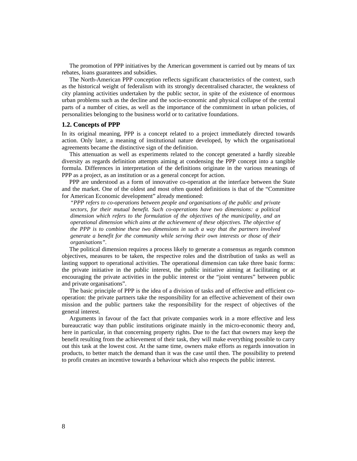The promotion of PPP initiatives by the American government is carried out by means of tax rebates, loans guarantees and subsidies.

 The North-American PPP conception reflects significant characteristics of the context, such as the historical weight of federalism with its strongly decentralised character, the weakness of city planning activities undertaken by the public sector, in spite of the existence of enormous urban problems such as the decline and the socio-economic and physical collapse of the central parts of a number of cities, as well as the importance of the commitment in urban policies, of personalities belonging to the business world or to caritative foundations.

# **1.2. Concepts of PPP**

In its original meaning, PPP is a concept related to a project immediately directed towards action. Only later, a meaning of institutional nature developed, by which the organisational agreements became the distinctive sign of the definition.

 This attenuation as well as experiments related to the concept generated a hardly sizeable diversity as regards definition attempts aiming at condensing the PPP concept into a tangible formula. Differences in interpretation of the definitions originate in the various meanings of PPP as a project, as an institution or as a general concept for action.

 PPP are understood as a form of innovative co-operation at the interface between the State and the market. One of the oldest and most often quoted definitions is that of the "Committee for American Economic development" already mentioned:

*"PPP refers to co-operations between people and organisations of the public and private sectors, for their mutual benefit. Such co-operations have two dimensions: a political dimension which refers to the formulation of the objectives of the municipality, and an operational dimension which aims at the achievement of these objectives. The objective of the PPP is to combine these two dimensions in such a way that the partners involved generate a benefit for the community while serving their own interests or those of their organisations".* 

 The political dimension requires a process likely to generate a consensus as regards common objectives, measures to be taken, the respective roles and the distribution of tasks as well as lasting support to operational activities. The operational dimension can take three basic forms: the private initiative in the public interest, the public initiative aiming at facilitating or at encouraging the private activities in the public interest or the "joint ventures" between public and private organisations".

 The basic principle of PPP is the idea of a division of tasks and of effective and efficient cooperation: the private partners take the responsibility for an effective achievement of their own mission and the public partners take the responsibility for the respect of objectives of the general interest.

 Arguments in favour of the fact that private companies work in a more effective and less bureaucratic way than public institutions originate mainly in the micro-economic theory and, here in particular, in that concerning property rights. Due to the fact that owners may keep the benefit resulting from the achievement of their task, they will make everything possible to carry out this task at the lowest cost. At the same time, owners make efforts as regards innovation in products, to better match the demand than it was the case until then. The possibility to pretend to profit creates an incentive towards a behaviour which also respects the public interest.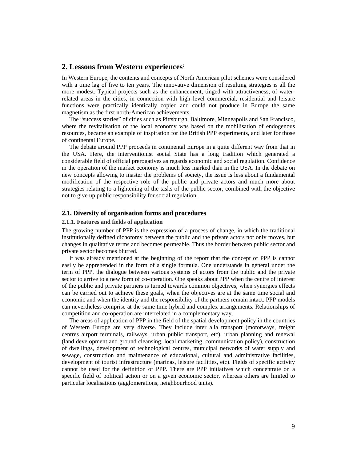# **2. Lessons from Western experiences**<sup>2</sup>

In Western Europe, the contents and concepts of North American pilot schemes were considered with a time lag of five to ten years. The innovative dimension of resulting strategies is all the more modest. Typical projects such as the enhancement, tinged with attractiveness, of waterrelated areas in the cities, in connection with high level commercial, residential and leisure functions were practically identically copied and could not produce in Europe the same magnetism as the first north-American achievements.

 The "success stories" of cities such as Pittsburgh, Baltimore, Minneapolis and San Francisco, where the revitalisation of the local economy was based on the mobilisation of endogenous resources, became an example of inspiration for the British PPP experiments, and later for those of continental Europe.

 The debate around PPP proceeds in continental Europe in a quite different way from that in the USA. Here, the interventionist social State has a long tradition which generated a considerable field of official prerogatives as regards economic and social regulation. Confidence in the operation of the market economy is much less marked than in the USA. In the debate on new concepts allowing to master the problems of society, the issue is less about a fundamental modification of the respective role of the public and private actors and much more about strategies relating to a lightening of the tasks of the public sector, combined with the objective not to give up public responsibility for social regulation.

# **2.1. Diversity of organisation forms and procedures**

#### **2.1.1. Features and fields of application**

The growing number of PPP is the expression of a process of change, in which the traditional institutionally defined dichotomy between the public and the private actors not only moves, but changes in qualitative terms and becomes permeable. Thus the border between public sector and private sector becomes blurred.

 It was already mentioned at the beginning of the report that the concept of PPP is cannot easily be apprehended in the form of a single formula. One understands in general under the term of PPP, the dialogue between various systems of actors from the public and the private sector to arrive to a new form of co-operation. One speaks about PPP when the centre of interest of the public and private partners is turned towards common objectives, when synergies effects can be carried out to achieve these goals, when the objectives are at the same time social and economic and when the identity and the responsibility of the partners remain intact. PPP models can nevertheless comprise at the same time hybrid and complex arrangements. Relationships of competition and co-operation are interrelated in a complementary way.

 The areas of application of PPP in the field of the spatial development policy in the countries of Western Europe are very diverse. They include inter alia transport (motorways, freight centres airport terminals, railways, urban public transport, etc), urban planning and renewal (land development and ground cleansing, local marketing, communication policy), construction of dwellings, development of technological centres, municipal networks of water supply and sewage, construction and maintenance of educational, cultural and administrative facilities, development of tourist infrastructure (marinas, leisure facilities, etc). Fields of specific activity cannot be used for the definition of PPP. There are PPP initiatives which concentrate on a specific field of political action or on a given economic sector, whereas others are limited to particular localisations (agglomerations, neighbourhood units).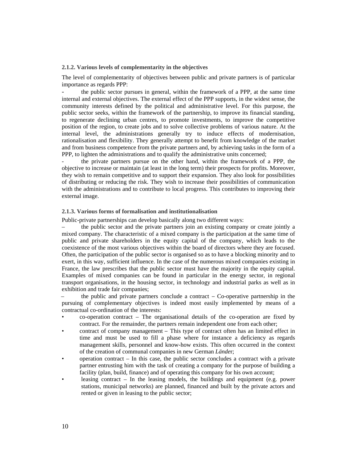#### **2.1.2. Various levels of complementarity in the objectives**

The level of complementarity of objectives between public and private partners is of particular importance as regards PPP:

the public sector pursues in general, within the framework of a PPP, at the same time internal and external objectives. The external effect of the PPP supports, in the widest sense, the community interests defined by the political and administrative level. For this purpose, the public sector seeks, within the framework of the partnership, to improve its financial standing, to regenerate declining urban centres, to promote investments, to improve the competitive position of the region, to create jobs and to solve collective problems of various nature. At the internal level, the administrations generally try to induce effects of modernisation, rationalisation and flexibility. They generally attempt to benefit from knowledge of the market and from business competence from the private partners and, by achieving tasks in the form of a PPP, to lighten the administrations and to qualify the administrative units concerned;

- the private partners pursue on the other hand, within the framework of a PPP, the objective to increase or maintain (at least in the long term) their prospects for profits. Moreover, they wish to remain competitive and to support their expansion. They also look for possibilities of distributing or reducing the risk. They wish to increase their possibilities of communication with the administrations and to contribute to local progress. This contributes to improving their external image.

# **2.1.3. Various forms of formalisation and institutionalisation**

Public-private partnerships can develop basically along two different ways:

– the public sector and the private partners join an existing company or create jointly a mixed company. The characteristic of a mixed company is the participation at the same time of public and private shareholders in the equity capital of the company, which leads to the coexistence of the most various objectives within the board of directors where they are focused. Often, the participation of the public sector is organised so as to have a blocking minority and to exert, in this way, sufficient influence. In the case of the numerous mixed companies existing in France, the law prescribes that the public sector must have the majority in the equity capital. Examples of mixed companies can be found in particular in the energy sector, in regional transport organisations, in the housing sector, in technology and industrial parks as well as in exhibition and trade fair companies;

the public and private partners conclude a contract  $-$  Co-operative partnership in the pursuing of complementary objectives is indeed most easily implemented by means of a contractual co-ordination of the interests:

- co-operation contract The organisational details of the co-operation are fixed by contract. For the remainder, the partners remain independent one from each other;
- contract of company management This type of contract often has an limited effect in time and must be used to fill a phase where for instance a deficiency as regards management skills, personnel and know-how exists. This often occurred in the context of the creation of communal companies in new German *Lände*r;
- operation contract In this case, the public sector concludes a contract with a private partner entrusting him with the task of creating a company for the purpose of building a facility (plan, build, finance) and of operating this company for his own account;
- leasing contract In the leasing models, the buildings and equipment (e.g. power stations, municipal networks) are planned, financed and built by the private actors and rented or given in leasing to the public sector;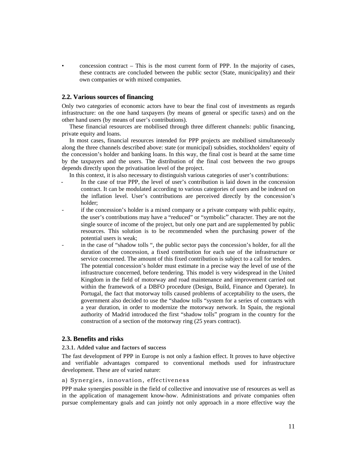$\alpha$  concession contract – This is the most current form of PPP. In the majority of cases, these contracts are concluded between the public sector (State, municipality) and their own companies or with mixed companies.

# **2.2. Various sources of financing**

Only two categories of economic actors have to bear the final cost of investments as regards infrastructure: on the one hand taxpayers (by means of general or specific taxes) and on the other hand users (by means of user's contributions).

 These financial resources are mobilised through three different channels: public financing, private equity and loans.

 In most cases, financial resources intended for PPP projects are mobilised simultaneously along the three channels described above: state (or municipal) subsidies, stockholders' equity of the concession's holder and banking loans. In this way, the final cost is beard at the same time by the taxpayers and the users. The distribution of the final cost between the two groups depends directly upon the privatisation level of the project.

In this context, it is also necessary to distinguish various categories of user's contributions:

- In the case of true PPP, the level of user's contribution is laid down in the concession contract. It can be modulated according to various categories of users and be indexed on the inflation level. User's contributions are perceived directly by the concession's holder;
- if the concession's holder is a mixed company or a private company with public equity, the user's contributions may have a "reduced" or "symbolic" character. They are not the single source of income of the project, but only one part and are supplemented by public resources. This solution is to be recommended when the purchasing power of the potential users is weak;
- in the case of "shadow tolls ", the public sector pays the concession's holder, for all the duration of the concession, a fixed contribution for each use of the infrastructure or service concerned. The amount of this fixed contribution is subject to a call for tenders. The potential concession's holder must estimate in a precise way the level of use of the infrastructure concerned, before tendering. This model is very widespread in the United Kingdom in the field of motorway and road maintenance and improvement carried out within the framework of a DBFO procedure (Design, Build, Finance and Operate). In Portugal, the fact that motorway tolls caused problems of acceptability to the users, the government also decided to use the "shadow tolls "system for a series of contracts with a year duration, in order to modernize the motorway network. In Spain, the regional authority of Madrid introduced the first "shadow tolls" program in the country for the construction of a section of the motorway ring (25 years contract).

# **2.3. Benefits and risks**

#### **2.3.1. Added value and factors of success**

The fast development of PPP in Europe is not only a fashion effect. It proves to have objective and verifiable advantages compared to conventional methods used for infrastructure development. These are of varied nature:

#### a) Synergies, innovation, effectiveness

PPP make synergies possible in the field of collective and innovative use of resources as well as in the application of management know-how. Administrations and private companies often pursue complementary goals and can jointly not only approach in a more effective way the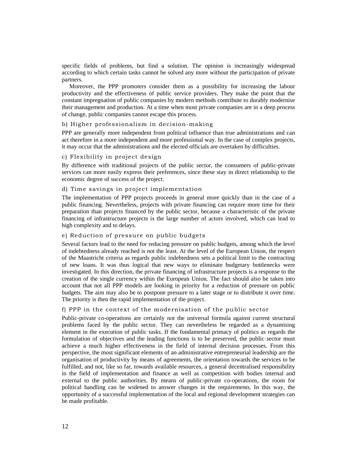specific fields of problems, but find a solution. The opinion is increasingly widespread according to which certain tasks cannot be solved any more without the participation of private partners.

 Moreover, the PPP promoters consider them as a possibility for increasing the labour productivity and the effectiveness of public service providers. They make the point that the constant impregnation of public companies by modern methods contribute to durably modernise their management and production. At a time when most private companies are in a deep process of change, public companies cannot escape this process.

# b) Higher professionalism in decision-making

PPP are generally more independent from political influence than true administrations and can act therefore in a more independent and more professional way. In the case of complex projects, it may occur that the administrations and the elected officials are overtaken by difficulties.

# c) Flexibility in project design

By difference with traditional projects of the public sector, the consumers of public-private services can more easily express their preferences, since these stay in direct relationship to the economic degree of success of the project.

# d) Time savings in project implementation

The implementation of PPP projects proceeds in general more quickly than in the case of a public financing. Nevertheless, projects with private financing can require more time for their preparation than projects financed by the public sector, because a characteristic of the private financing of infrastructure projects is the large number of actors involved, which can lead to high complexity and to delays.

# e) Reduction of pressure on public budgets

Several factors lead to the need for reducing pressure on public budgets, among which the level of indebtedness already reached is not the least. At the level of the European Union, the respect of the Maastricht criteria as regards public indebtedness sets a political limit to the contracting of new loans. It was thus logical that new ways to eliminate budgetary bottlenecks were investigated. In this direction, the private financing of infrastructure projects is a response to the creation of the single currency within the European Union. The fact should also be taken into account that not all PPP models are looking in priority for a reduction of pressure on public budgets. The aim may also be to postpone pressure to a later stage or to distribute it over time. The priority is then the rapid implementation of the project.

## f) PPP in the context of the modernisation of the public sector

Public-private co-operations are certainly not the universal formula against current structural problems faced by the public sector. They can nevertheless be regarded as a dynamising element in the execution of public tasks. If the fundamental primacy of politics as regards the formulation of objectives and the leading functions is to be preserved, the public sector must achieve a much higher effectiveness in the field of internal decision processes. From this perspective, the most significant elements of an administrative entrepreneurial leadership are the organisation of productivity by means of agreements, the orientation towards the services to be fulfilled, and not, like so far, towards available resources, a general decentralised responsibility in the field of implementation and finance as well as competition with bodies internal and external to the public authorities. By means of public-private co-operations, the room for political handling can be widened to answer changes in the requirements. In this way, the opportunity of a successful implementation of the local and regional development strategies can be made profitable.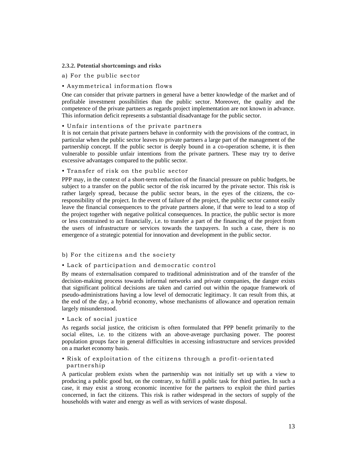## **2.3.2. Potential shortcomings and risks**

#### a) For the public sector

# • Asymmetrical information flows

One can consider that private partners in general have a better knowledge of the market and of profitable investment possibilities than the public sector. Moreover, the quality and the competence of the private partners as regards project implementation are not known in advance. This information deficit represents a substantial disadvantage for the public sector.

#### • Unfair intentions of the private partners

It is not certain that private partners behave in conformity with the provisions of the contract, in particular when the public sector leaves to private partners a large part of the management of the partnership concept. If the public sector is deeply bound in a co-operation scheme, it is then vulnerable to possible unfair intentions from the private partners. These may try to derive excessive advantages compared to the public sector.

# • Transfer of risk on the public sector

PPP may, in the context of a short-term reduction of the financial pressure on public budgets, be subject to a transfer on the public sector of the risk incurred by the private sector. This risk is rather largely spread, because the public sector bears, in the eyes of the citizens, the coresponsibility of the project. In the event of failure of the project, the public sector cannot easily leave the financial consequences to the private partners alone, if that were to lead to a stop of the project together with negative political consequences. In practice, the public sector is more or less constrained to act financially, i.e. to transfer a part of the financing of the project from the users of infrastructure or services towards the taxpayers. In such a case, there is no emergence of a strategic potential for innovation and development in the public sector.

#### b) For the citizens and the society

#### • Lack of participation and democratic control

By means of externalisation compared to traditional administration and of the transfer of the decision-making process towards informal networks and private companies, the danger exists that significant political decisions are taken and carried out within the opaque framework of pseudo-administrations having a low level of democratic legitimacy. It can result from this, at the end of the day, a hybrid economy, whose mechanisms of allowance and operation remain largely misunderstood.

#### • Lack of social justice

As regards social justice, the criticism is often formulated that PPP benefit primarily to the social elites, i.e. to the citizens with an above-average purchasing power. The poorest population groups face in general difficulties in accessing infrastructure and services provided on a market economy basis.

# • Risk of exploitation of the citizens through a profit-orientated partnership

A particular problem exists when the partnership was not initially set up with a view to producing a public good but, on the contrary, to fulfill a public task for third parties. In such a case, it may exist a strong economic incentive for the partners to exploit the third parties concerned, in fact the citizens. This risk is rather widespread in the sectors of supply of the households with water and energy as well as with services of waste disposal.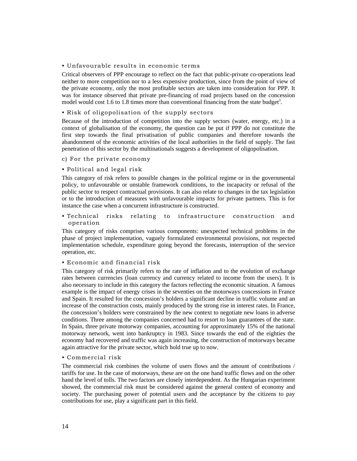#### • Unfavourable results in economic terms

Critical observers of PPP encourage to reflect on the fact that public-private co-operations lead neither to more competition nor to a less expensive production, since from the point of view of the private economy, only the most profitable sectors are taken into consideration for PPP. It was for instance observed that private pre-financing of road projects based on the concession model would cost 1.6 to 1.8 times more than conventional financing from the state budget<sup>3</sup>.

# • Risk of oligopolisation of the supply sectors

Because of the introduction of competition into the supply sectors (water, energy, etc.) in a context of globalisation of the economy, the question can be put if PPP do not constitute the first step towards the final privatisation of public companies and therefore towards the abandonment of the economic activities of the local authorities in the field of supply. The fast penetration of this sector by the multinationals suggests a development of oligopolisation.

#### c) For the private economy

# • Political and legal risk

This category of risk refers to possible changes in the political regime or in the governmental policy, to unfavourable or unstable framework conditions, to the incapacity or refusal of the public sector to respect contractual provisions. It can also relate to changes in the tax legislation or to the introduction of measures with unfavourable impacts for private partners. This is for instance the case when a concurrent infrastructure is constructed.

# • Technical risks relating to infrastructure construction and operation

This category of risks comprises various components: unexpected technical problems in the phase of project implementation, vaguely formulated environmental provisions, not respected implementation schedule, expenditure going beyond the forecasts, interruption of the service operation, etc.

# • Economic and financial risk

This category of risk primarily refers to the rate of inflation and to the evolution of exchange rates between currencies (loan currency and currency related to income from the users). It is also necessary to include in this category the factors reflecting the economic situation. A famous example is the impact of energy crises in the seventies on the motorways concessions in France and Spain. It resulted for the concession's holders a significant decline in traffic volume and an increase of the construction costs, mainly produced by the strong rise in interest rates. In France, the concession's holders were constrained by the new context to negotiate new loans in adverse conditions. Three among the companies concerned had to resort to loan guarantees of the state. In Spain, three private motorway companies, accounting for approximately 15% of the national motorway network, went into bankruptcy in 1983. Since towards the end of the eighties the economy had recovered and traffic was again increasing, the construction of motorways became again attractive for the private sector, which hold true up to now.

#### • Commercial risk

The commercial risk combines the volume of users flows and the amount of contributions / tariffs for use. In the case of motorways, these are on the one hand traffic flows and on the other hand the level of tolls. The two factors are closely interdependent. As the Hungarian experiment showed, the commercial risk must be considered against the general context of economy and society. The purchasing power of potential users and the acceptance by the citizens to pay contributions for use, play a significant part in this field.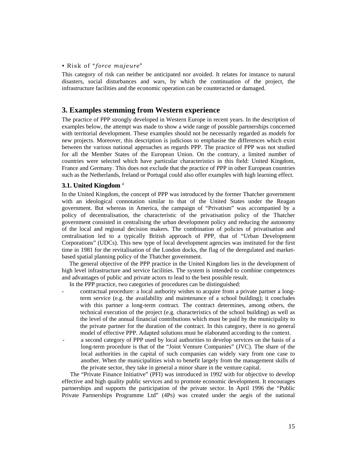## • Risk of "*force majeure*"

This category of risk can neither be anticipated nor avoided. It relates for instance to natural disasters, social disturbances and wars, by which the continuation of the project, the infrastructure facilities and the economic operation can be counteracted or damaged.

# **3. Examples stemming from Western experience**

The practice of PPP strongly developed in Western Europe in recent years. In the description of examples below, the attempt was made to show a wide range of possible partnerships concerned with territorial development. These examples should not be necessarily regarded as models for new projects. Moreover, this description is judicious to emphasise the differences which exist between the various national approaches as regards PPP. The practice of PPP was not studied for all the Member States of the European Union. On the contrary, a limited number of countries were selected which have particular characteristics in this field: United Kingdom, France and Germany. This does not exclude that the practice of PPP in other European countries such as the Netherlands, Ireland or Portugal could also offer examples with high learning effect.

#### **3.1. United Kingdom** <sup>4</sup>

In the United Kingdom, the concept of PPP was introduced by the former Thatcher government with an ideological connotation similar to that of the United States under the Reagan government. But whereas in America, the campaign of "Privatism" was accompanied by a policy of decentralisation, the characteristic of the privatisation policy of the Thatcher government consisted in centralising the urban development policy and reducing the autonomy of the local and regional decision makers. The combination of policies of privatisation and centralisation led to a typically British approach of PPP, that of "Urban Development Corporations" (UDCs). This new type of local development agencies was instituted for the first time in 1981 for the revitalisation of the London docks, the flag of the deregulated and marketbased spatial planning policy of the Thatcher government.

 The general objective of the PPP practice in the United Kingdom lies in the development of high level infrastructure and service facilities. The system is intended to combine competences and advantages of public and private actors to lead to the best possible result.

In the PPP practice, two categories of procedures can be distinguished:

- contractual procedure: a local authority wishes to acquire from a private partner a longterm service (e.g. the availability and maintenance of a school building); it concludes with this partner a long-term contract. The contract determines, among others, the technical execution of the project (e.g. characteristics of the school building) as well as the level of the annual financial contributions which must be paid by the municipality to the private partner for the duration of the contract. In this category, there is no general model of effective PPP. Adapted solutions must be elaborated according to the context.
- a second category of PPP used by local authorities to develop services on the basis of a long-term procedure is that of the "Joint Venture Companies" (JVC). The share of the local authorities in the capital of such companies can widely vary from one case to another. When the municipalities wish to benefit largely from the management skills of the private sector, they take in general a minor share in the venture capital.

 The "Private Finance Initiative" (PFI) was introduced in 1992 with for objective to develop effective and high quality public services and to promote economic development. It encourages partnerships and supports the participation of the private sector. In April 1996 the "Public Private Partnerships Programme Ltd" (4Ps) was created under the aegis of the national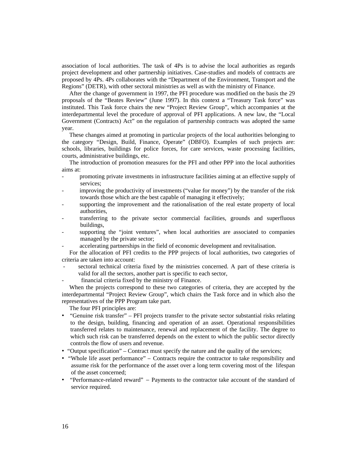association of local authorities. The task of 4Ps is to advise the local authorities as regards project development and other partnership initiatives. Case-studies and models of contracts are proposed by 4Ps. 4Ps collaborates with the "Department of the Environment, Transport and the Regions" (DETR), with other sectoral ministries as well as with the ministry of Finance.

 After the change of government in 1997, the PFI procedure was modified on the basis the 29 proposals of the "Beates Review" (June 1997). In this context a "Treasury Task force" was instituted. This Task force chairs the new "Project Review Group", which accompanies at the interdepartmental level the procedure of approval of PFI applications. A new law, the "Local Government (Contracts) Act" on the regulation of partnership contracts was adopted the same year.

 These changes aimed at promoting in particular projects of the local authorities belonging to the category "Design, Build, Finance, Operate" (DBFO). Examples of such projects are: schools, libraries, buildings for police forces, for care services, waste processing facilities, courts, administrative buildings, etc.

 The introduction of promotion measures for the PFI and other PPP into the local authorities aims at:

- promoting private investments in infrastructure facilities aiming at an effective supply of services;
- improving the productivity of investments ("value for money") by the transfer of the risk towards those which are the best capable of managing it effectively;
- supporting the improvement and the rationalisation of the real estate property of local authorities,
- transferring to the private sector commercial facilities, grounds and superfluous buildings,
- supporting the "joint ventures", when local authorities are associated to companies managed by the private sector;
- accelerating partnerships in the field of economic development and revitalisation.

 For the allocation of PFI credits to the PPP projects of local authorities, two categories of criteria are taken into account:

- sectoral technical criteria fixed by the ministries concerned. A part of these criteria is valid for all the sectors, another part is specific to each sector,
- financial criteria fixed by the ministry of Finance.

 When the projects correspond to these two categories of criteria, they are accepted by the interdepartmental "Project Review Group", which chairs the Task force and in which also the representatives of the PPP Program take part.

The four PFI principles are:

- "Genuine risk transfer" PFI projects transfer to the private sector substantial risks relating to the design, building, financing and operation of an asset. Operational responsibilities transferred relates to maintenance, renewal and replacement of the facility. The degree to which such risk can be transferred depends on the extent to which the public sector directly controls the flow of users and revenue.
- "Output specification" Contract must specify the nature and the quality of the services;
- "Whole life asset performance" Contracts require the contractor to take responsibility and assume risk for the performance of the asset over a long term covering most of the lifespan of the asset concerned;
- "Performance-related reward" Payments to the contractor take account of the standard of service required.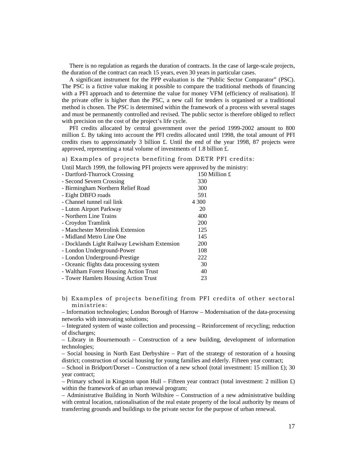There is no regulation as regards the duration of contracts. In the case of large-scale projects, the duration of the contract can reach 15 years, even 30 years in particular cases.

 A significant instrument for the PPP evaluation is the "Public Sector Comparator" (PSC). The PSC is a fictive value making it possible to compare the traditional methods of financing with a PFI approach and to determine the value for money VFM (efficiency of realisation). If the private offer is higher than the PSC, a new call for tenders is organised or a traditional method is chosen. The PSC is determined within the framework of a process with several stages and must be permanently controlled and revised. The public sector is therefore obliged to reflect with precision on the cost of the project's life cycle.

 PFI credits allocated by central government over the period 1999-2002 amount to 800 million £. By taking into account the PFI credits allocated until 1998, the total amount of PFI credits rises to approximately 3 billion £. Until the end of the year 1998, 87 projects were approved, representing a total volume of investments of 1.8 billion £.

# a) Examples of projects benefiting from DETR PFI credits:

Until March 1999, the following PFI projects were approved by the ministry:

| - Dartford-Thurrock Crossing                 | 150 Million £ |
|----------------------------------------------|---------------|
| - Second Severn Crossing                     | 330           |
| - Birmingham Northern Relief Road            | 300           |
| - Eight DBFO roads                           | 591           |
| - Channel tunnel rail link                   | 4 300         |
| - Luton Airport Parkway                      | 20            |
| - Northern Line Trains                       | 400           |
| - Croydon Tramlink                           | 200           |
| - Manchester Metrolink Extension             | 125           |
| - Midland Metro Line One                     | 145           |
| - Docklands Light Railway Lewisham Extension | <b>200</b>    |
| - London Underground-Power                   | 108           |
| - London Underground-Prestige                | 222           |
| - Oceanic flights data processing system     | 30            |
| - Waltham Forest Housing Action Trust        | 40            |
| - Tower Hamlets Housing Action Trust         | 23            |

b) Examples of projects benefiting from PFI credits of other sectoral ministries:

– Information technologies; London Borough of Harrow – Modernisation of the data-processing networks with innovating solutions;

– Integrated system of waste collection and processing – Reinforcement of recycling; reduction of discharges;

– Library in Bournemouth – Construction of a new building, development of information technologies;

– Social housing in North East Derbyshire – Part of the strategy of restoration of a housing district; construction of social housing for young families and elderly. Fifteen year contract;

– School in Bridport/Dorset – Construction of a new school (total investment: 15 million £); 30 year contract;

– Primary school in Kingston upon Hull – Fifteen year contract (total investment: 2 million £) within the framework of an urban renewal program;

– Administrative Building in North Wiltshire – Construction of a new administrative building with central location, rationalisation of the real estate property of the local authority by means of transferring grounds and buildings to the private sector for the purpose of urban renewal.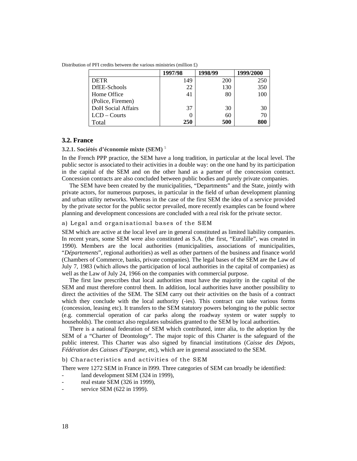Distribution of PFI credits between the various ministries (million  $\pounds$ )

|                    | 1997/98 | 1998/99 | 1999/2000 |
|--------------------|---------|---------|-----------|
| <b>DETR</b>        | 149     | 200     | 250       |
| DfEE-Schools       | 22      | 130     | 350       |
| Home Office        | 41      | 80      | 100       |
| (Police, Firemen)  |         |         |           |
| DoH Social Affairs | 37      | 30      | 30        |
| $LCD$ – Courts     |         | 60      | 70        |
| Total              | 250     | 500     | 800       |

# **3.2. France**

#### **3.2.1. Sociétés d'économie mixte (SEM)** <sup>5</sup>

In the French PPP practice, the SEM have a long tradition, in particular at the local level. The public sector is associated to their activities in a double way: on the one hand by its participation in the capital of the SEM and on the other hand as a partner of the concession contract. Concession contracts are also concluded between public bodies and purely private companies.

 The SEM have been created by the municipalities, "Departments" and the State, jointly with private actors, for numerous purposes, in particular in the field of urban development planning and urban utility networks. Whereas in the case of the first SEM the idea of a service provided by the private sector for the public sector prevailed, more recently examples can be found where planning and development concessions are concluded with a real risk for the private sector.

# a) Legal and organisational bases of the SEM

SEM which are active at the local level are in general constituted as limited liability companies. In recent years, some SEM were also constituted as S.A. (the first, "Euralille", was created in 1990). Members are the local authorities (municipalities, associations of municipalities, "*Départements*", regional authorities) as well as other partners of the business and finance world (Chambers of Commerce, banks, private companies). The legal bases of the SEM are the Law of July 7, 1983 (which allows the participation of local authorities in the capital of companies) as well as the Law of July 24, 1966 on the companies with commercial purpose.

 The first law prescribes that local authorities must have the majority in the capital of the SEM and must therefore control them. In addition, local authorities have another possibility to direct the activities of the SEM. The SEM carry out their activities on the basis of a contract which they conclude with the local authority (-ies). This contract can take various forms (concession, leasing etc). It transfers to the SEM statutory powers belonging to the public sector (e.g. commercial operation of car parks along the roadway system or water supply to households). The contract also regulates subsidies granted to the SEM by local authorities.

 There is a national federation of SEM which contributed, inter alia, to the adoption by the SEM of a "Charter of Deontology". The major topic of this Charter is the safeguard of the public interest. This Charter was also signed by financial institutions (*Caisse des Dépots, Fédération des Caisses d'Epargne,* etc), which are in general associated to the SEM.

#### b) Characteristics and activities of the SEM

There were 1272 SEM in France in l999. Three categories of SEM can broadly be identified:

- land development SEM (324 in 1999),
- real estate SEM (326 in 1999),
- service SEM (622 in 1999).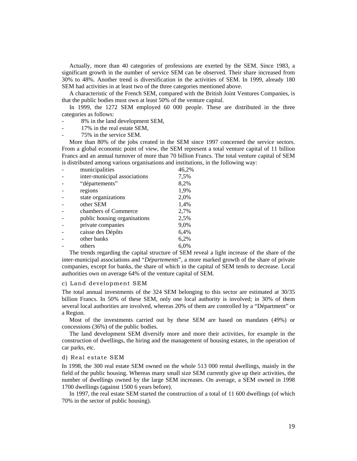Actually, more than 40 categories of professions are exerted by the SEM. Since 1983, a significant growth in the number of service SEM can be observed. Their share increased from 30% to 48%. Another trend is diversification in the activities of SEM. In 1999, already 180 SEM had activities in at least two of the three categories mentioned above.

 A characteristic of the French SEM, compared with the British Joint Ventures Companies, is that the public bodies must own at least 50% of the venture capital.

 In 1999, the 1272 SEM employed 60 000 people. These are distributed in the three categories as follows:

- 8% in the land development SEM,
- 17% in the real estate SEM.
- 75% in the service SEM.

 More than 80% of the jobs created in the SEM since 1997 concerned the service sectors. From a global economic point of view, the SEM represent a total venture capital of 11 billion Francs and an annual turnover of more than 70 billion Francs. The total venture capital of SEM is distributed among various organisations and institutions, in the following way:

| municipalities               | 46,2% |
|------------------------------|-------|
| inter-municipal associations | 7,5%  |
| "départements"               | 8,2%  |
| regions                      | 1,9%  |
| state organizations          | 2,0%  |
| other SEM                    | 1,4%  |
| chambers of Commerce         | 2,7%  |
| public housing organisations | 2,5%  |
| private companies            | 9,0%  |
| caisse des Dépôts            | 6,4%  |
| other banks                  | 6,2%  |
| others                       | 6.0%  |

 The trends regarding the capital structure of SEM reveal a light increase of the share of the inter-municipal associations and "*Départements*", a more marked growth of the share of private companies, except for banks, the share of which in the capital of SEM tends to decrease. Local authorities own on average 64% of the venture capital of SEM.

#### c) Land development SEM

The total annual investments of the 324 SEM belonging to this sector are estimated at 30/35 billion Francs. In 50% of these SEM, only one local authority is involved; in 30% of them several local authorities are involved, whereas 20% of them are controlled by a "Départment" or a Region.

 Most of the investments carried out by these SEM are based on mandates (49%) or concessions (36%) of the public bodies.

 The land development SEM diversify more and more their activities, for example in the construction of dwellings, the hiring and the management of housing estates, in the operation of car parks, etc.

#### d) Real estate SEM

In 1998, the 300 real estate SEM owned on the whole 513 000 rental dwellings, mainly in the field of the public housing. Whereas many small size SEM currently give up their activities, the number of dwellings owned by the large SEM increases. On average, a SEM owned in 1998 1700 dwellings (against 1500 6 years before).

 In 1997, the real estate SEM started the construction of a total of 11 600 dwellings (of which 70% in the sector of public housing).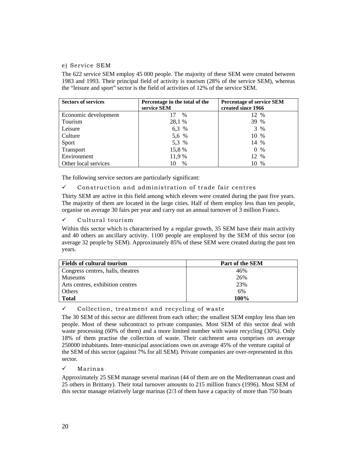# e) Service SEM

The 622 service SEM employ 45 000 people. The majority of these SEM were created between 1983 and 1993. Their principal field of activity is tourism (28% of the service SEM), whereas the "leisure and sport" sector is the field of activities of 12% of the service SEM.

| <b>Sectors of services</b> | Percentage in the total of the<br>service SEM | <b>Percentage of service SEM</b><br>created since 1966 |
|----------------------------|-----------------------------------------------|--------------------------------------------------------|
| Economic development       | $\%$                                          | 12 %                                                   |
| Tourism                    | 28,1 %                                        | 39 %                                                   |
| Leisure                    | 6,3 %                                         | 3 %                                                    |
| Culture                    | 5,6 %                                         | 10 %                                                   |
| Sport                      | 5,3 %                                         | 14 %                                                   |
| Transport                  | 15,8 %                                        | 0<br>%                                                 |
| Environment                | 11,9 %                                        | 12 %                                                   |
| Other local services       | $\%$                                          | 10 %                                                   |

The following service sectors are particularly significant:

# $\checkmark$  Construction and administration of trade fair centres

Thirty SEM are active in this field among which eleven were created during the past five years. The majority of them are located in the large cities. Half of them employ less than ten people, organise on average 30 fairs per year and carry out an annual turnover of 3 million Francs.

 $\checkmark$  Cultural tourism

Within this sector which is characterised by a regular growth, 35 SEM have their main activity and 40 others an ancillary activity. 1100 people are employed by the SEM of this sector (on average 32 people by SEM). Approximately 85% of these SEM were created during the past ten years.

| <b>Fields of cultural tourism</b> | Part of the SEM |
|-----------------------------------|-----------------|
| Congress centres, halls, theatres | 46%             |
| <b>Museums</b>                    | 26%             |
| Arts centres, exhibition centres  | 23%             |
| Others                            | 6%              |
| <b>Total</b>                      | 100%            |

# $\checkmark$  Collection, treatment and recycling of waste

The 30 SEM of this sector are different from each other; the smallest SEM employ less than ten people. Most of these subcontract to private companies. Most SEM of this sector deal with waste processing (60% of them) and a more limited number with waste recycling (30%). Only 18% of them practise the collection of waste. Their catchment area comprises on average 250000 inhabitants. Inter-municipal associations own on average 45% of the venture capital of the SEM of this sector (against 7% for all SEM). Private companies are over-represented in this sector.

# 9 Marinas

Approximately 25 SEM manage several marinas (44 of them are on the Mediterranean coast and 25 others in Brittany). Their total turnover amounts to 215 million francs (1996). Most SEM of this sector manage relatively large marinas (2/3 of them have a capacity of more than 750 boats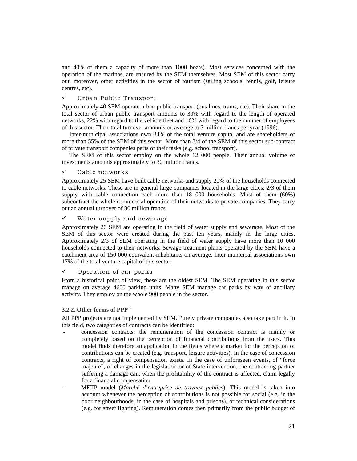and 40% of them a capacity of more than 1000 boats). Most services concerned with the operation of the marinas, are ensured by the SEM themselves. Most SEM of this sector carry out, moreover, other activities in the sector of tourism (sailing schools, tennis, golf, leisure centres, etc).

# $\checkmark$  Urban Public Transport

Approximately 40 SEM operate urban public transport (bus lines, trams, etc). Their share in the total sector of urban public transport amounts to 30% with regard to the length of operated networks, 22% with regard to the vehicle fleet and 16% with regard to the number of employees of this sector. Their total turnover amounts on average to 3 million francs per year (1996).

 Inter-municipal associations own 34% of the total venture capital and are shareholders of more than 55% of the SEM of this sector. More than 3/4 of the SEM of this sector sub-contract of private transport companies parts of their tasks (e.g. school transport).

 The SEM of this sector employ on the whole 12 000 people. Their annual volume of investments amounts approximately to 30 million francs.

# $\checkmark$  Cable networks

Approximately 25 SEM have built cable networks and supply 20% of the households connected to cable networks. These are in general large companies located in the large cities: 2/3 of them supply with cable connection each more than 18 000 households. Most of them (60%) subcontract the whole commercial operation of their networks to private companies. They carry out an annual turnover of 30 million francs.

# $\checkmark$  Water supply and sewerage

Approximately 20 SEM are operating in the field of water supply and sewerage. Most of the SEM of this sector were created during the past ten years, mainly in the large cities. Approximately 2/3 of SEM operating in the field of water supply have more than 10 000 households connected to their networks. Sewage treatment plants operated by the SEM have a catchment area of 150 000 equivalent-inhabitants on average. Inter-municipal associations own 17% of the total venture capital of this sector.

# $\checkmark$  Operation of car parks

From a historical point of view, these are the oldest SEM. The SEM operating in this sector manage on average 4600 parking units. Many SEM manage car parks by way of ancillary activity. They employ on the whole 900 people in the sector.

#### **3.2.2. Other forms of PPP** <sup>6</sup>

All PPP projects are not implemented by SEM. Purely private companies also take part in it. In this field, two categories of contracts can be identified:

- concession contracts: the remuneration of the concession contract is mainly or completely based on the perception of financial contributions from the users. This model finds therefore an application in the fields where a market for the perception of contributions can be created (e.g. transport, leisure activities). In the case of concession contracts, a right of compensation exists. In the case of unforeseen events, of "force majeure", of changes in the legislation or of State intervention, the contracting partner suffering a damage can, when the profitability of the contract is affected, claim legally for a financial compensation.
- METP model (*Marché d'entreprise de travaux publics*). This model is taken into account whenever the perception of contributions is not possible for social (e.g. in the poor neighbourhoods, in the case of hospitals and prisons), or technical considerations (e.g. for street lighting). Remuneration comes then primarily from the public budget of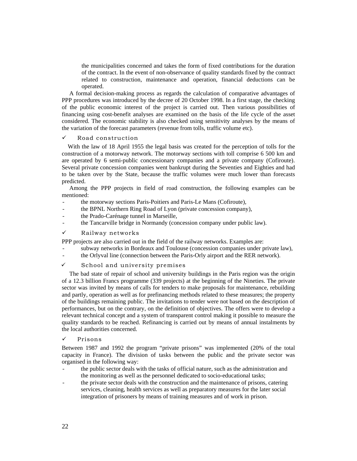the municipalities concerned and takes the form of fixed contributions for the duration of the contract. In the event of non-observance of quality standards fixed by the contract related to construction, maintenance and operation, financial deductions can be operated.

 A formal decision-making process as regards the calculation of comparative advantages of PPP procedures was introduced by the decree of 20 October 1998. In a first stage, the checking of the public economic interest of the project is carried out. Then various possibilities of financing using cost-benefit analyses are examined on the basis of the life cycle of the asset considered. The economic stability is also checked using sensitivity analyses by the means of the variation of the forecast parameters (revenue from tolls, traffic volume etc).

# $\checkmark$  Road construction

 With the law of 18 April 1955 the legal basis was created for the perception of tolls for the construction of a motorway network. The motorway sections with toll comprise 6 500 km and are operated by 6 semi-public concessionary companies and a private company (Cofiroute). Several private concession companies went bankrupt during the Seventies and Eighties and had to be taken over by the State, because the traffic volumes were much lower than forecasts predicted.

 Among the PPP projects in field of road construction, the following examples can be mentioned:

- the motorway sections Paris-Poitiers and Paris-Le Mans (Cofiroute),
- the BPNL Northern Ring Road of Lyon (private concession company),
- the Prado-Carénage tunnel in Marseille,
- the Tancarville bridge in Normandy (concession company under public law).
- $\checkmark$  Railway networks

PPP projects are also carried out in the field of the railway networks. Examples are:

- subway networks in Bordeaux and Toulouse (concession companies under private law),
- the Orlyval line (connection between the Paris-Orly airport and the RER network).

#### $\checkmark$  School and university premises

 The bad state of repair of school and university buildings in the Paris region was the origin of a 12.3 billion Francs programme (339 projects) at the beginning of the Nineties. The private sector was invited by means of calls for tenders to make proposals for maintenance, rebuilding and partly, operation as well as for prefinancing methods related to these measures; the property of the buildings remaining public. The invitations to tender were not based on the description of performances, but on the contrary, on the definition of objectives. The offers were to develop a relevant technical concept and a system of transparent control making it possible to measure the quality standards to be reached. Refinancing is carried out by means of annual instalments by the local authorities concerned.

#### **Prisons**

Between 1987 and 1992 the program "private prisons" was implemented (20% of the total capacity in France). The division of tasks between the public and the private sector was organised in the following way:

- the public sector deals with the tasks of official nature, such as the administration and the monitoring as well as the personnel dedicated to socio-educational tasks;
- the private sector deals with the construction and the maintenance of prisons, catering services, cleaning, health services as well as preparatory measures for the later social integration of prisoners by means of training measures and of work in prison.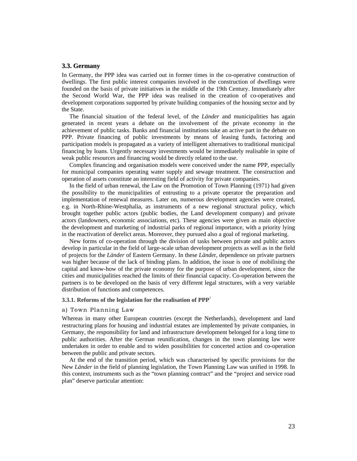# **3.3. Germany**

In Germany, the PPP idea was carried out in former times in the co-operative construction of dwellings. The first public interest companies involved in the construction of dwellings were founded on the basis of private initiatives in the middle of the 19th Century. Immediately after the Second World War, the PPP idea was realised in the creation of co-operatives and development corporations supported by private building companies of the housing sector and by the State.

 The financial situation of the federal level, of the *Länder* and municipalities has again generated in recent years a debate on the involvement of the private economy in the achievement of public tasks. Banks and financial institutions take an active part in the debate on PPP. Private financing of public investments by means of leasing funds, factoring and participation models is propagated as a variety of intelligent alternatives to traditional municipal financing by loans. Urgently necessary investments would be immediately realisable in spite of weak public resources and financing would be directly related to the use.

 Complex financing and organisation models were conceived under the name PPP, especially for municipal companies operating water supply and sewage treatment. The construction and operation of assets constitute an interesting field of activity for private companies.

 In the field of urban renewal, the Law on the Promotion of Town Planning (1971) had given the possibility to the municipalities of entrusting to a private operator the preparation and implementation of renewal measures. Later on, numerous development agencies were created, e.g. in North-Rhine-Westphalia, as instruments of a new regional structural policy, which brought together public actors (public bodies, the Land development company) and private actors (landowners, economic associations, etc). These agencies were given as main objective the development and marketing of industrial parks of regional importance, with a priority lying in the reactivation of derelict areas. Moreover, they pursued also a goal of regional marketing.

 New forms of co-operation through the division of tasks between private and public actors develop in particular in the field of large-scale urban development projects as well as in the field of projects for the *Länder* of Eastern Germany. In these *Lände*r, dependence on private partners was higher because of the lack of binding plans. In addition, the issue is one of mobilising the capital and know-how of the private economy for the purpose of urban development, since the cities and municipalities reached the limits of their financial capacity. Co-operation between the partners is to be developed on the basis of very different legal structures, with a very variable distribution of functions and competences.

#### **3.3.1. Reforms of the legislation for the realisation of PPP**<sup>7</sup>

#### a) Town Planning Law

Whereas in many other European countries (except the Netherlands), development and land restructuring plans for housing and industrial estates are implemented by private companies, in Germany, the responsibility for land and infrastructure development belonged for a long time to public authorities. After the German reunification, changes in the town planning law were undertaken in order to enable and to widen possibilities for concerted action and co-operation between the public and private sectors.

 At the end of the transition period, which was characterised by specific provisions for the New *Länder* in the field of planning legislation, the Town Planning Law was unified in 1998. In this context, instruments such as the "town planning contract" and the "project and service road plan" deserve particular attention: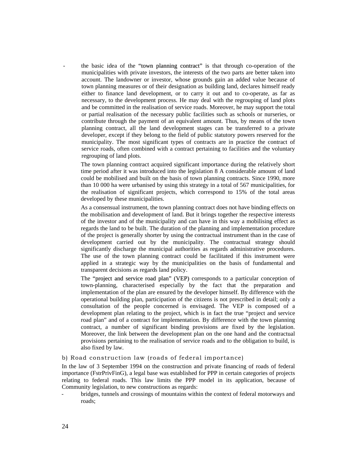- the basic idea of the "town planning contract" is that through co-operation of the municipalities with private investors, the interests of the two parts are better taken into account. The landowner or investor, whose grounds gain an added value because of town planning measures or of their designation as building land, declares himself ready either to finance land development, or to carry it out and to co-operate, as far as necessary, to the development process. He may deal with the regrouping of land plots and be committed in the realisation of service roads. Moreover, he may support the total or partial realisation of the necessary public facilities such as schools or nurseries, or contribute through the payment of an equivalent amount. Thus, by means of the town planning contract, all the land development stages can be transferred to a private developer, except if they belong to the field of public statutory powers reserved for the municipality. The most significant types of contracts are in practice the contract of service roads, often combined with a contract pertaining to facilities and the voluntary regrouping of land plots.

The town planning contract acquired significant importance during the relatively short time period after it was introduced into the legislation 8 A considerable amount of land could be mobilised and built on the basis of town planning contracts. Since 1990, more than 10 000 ha were urbanised by using this strategy in a total of 567 municipalities, for the realisation of significant projects, which correspond to 15% of the total areas developed by these municipalities.

As a consensual instrument, the town planning contract does not have binding effects on the mobilisation and development of land. But it brings together the respective interests of the investor and of the municipality and can have in this way a mobilising effect as regards the land to be built. The duration of the planning and implementation procedure of the project is generally shorter by using the contractual instrument than in the case of development carried out by the municipality. The contractual strategy should significantly discharge the municipal authorities as regards administrative procedures. The use of the town planning contract could be facilitated if this instrument were applied in a strategic way by the municipalities on the basis of fundamental and transparent decisions as regards land policy.

The "project and service road plan" (VEP) corresponds to a particular conception of town-planning, characterised especially by the fact that the preparation and implementation of the plan are ensured by the developer himself. By difference with the operational building plan, participation of the citizens is not prescribed in detail; only a consultation of the people concerned is envisaged. The VEP is composed of a development plan relating to the project, which is in fact the true "project and service road plan" and of a contract for implementation. By difference with the town planning contract, a number of significant binding provisions are fixed by the legislation. Moreover, the link between the development plan on the one hand and the contractual provisions pertaining to the realisation of service roads and to the obligation to build, is also fixed by law.

#### b) Road construction law (roads of federal importance)

In the law of 3 September 1994 on the construction and private financing of roads of federal importance (FstrPrivFinG), a legal base was established for PPP in certain categories of projects relating to federal roads. This law limits the PPP model in its application, because of Community legislation, to new constructions as regards:

bridges, tunnels and crossings of mountains within the context of federal motorways and roads;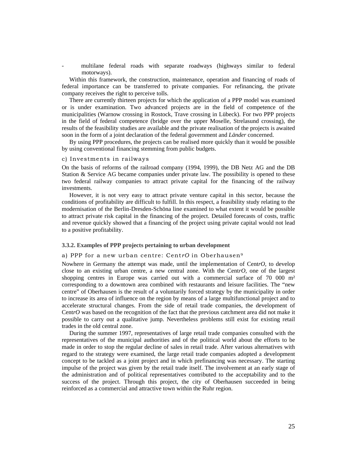multilane federal roads with separate roadways (highways similar to federal motorways).

 Within this framework, the construction, maintenance, operation and financing of roads of federal importance can be transferred to private companies. For refinancing, the private company receives the right to perceive tolls.

 There are currently thirteen projects for which the application of a PPP model was examined or is under examination. Two advanced projects are in the field of competence of the municipalities (Warnow crossing in Rostock, Trave crossing in Lübeck). For two PPP projects in the field of federal competence (bridge over the upper Moselle, Strelasund crossing), the results of the feasibility studies are available and the private realisation of the projects is awaited soon in the form of a joint declaration of the federal government and *Länder* concerned.

 By using PPP procedures, the projects can be realised more quickly than it would be possible by using conventional financing stemming from public budgets.

#### c) Investments in railways

On the basis of reforms of the railroad company (1994, 1999), the DB Netz AG and the DB Station & Service AG became companies under private law. The possibility is opened to these two federal railway companies to attract private capital for the financing of the railway investments.

 However, it is not very easy to attract private venture capital in this sector, because the conditions of profitability are difficult to fulfill. In this respect, a feasibility study relating to the modernisation of the Berlin-Dresden-Schöna line examined to what extent it would be possible to attract private risk capital in the financing of the project. Detailed forecasts of costs, traffic and revenue quickly showed that a financing of the project using private capital would not lead to a positive profitability.

#### **3.3.2. Examples of PPP projects pertaining to urban development**

#### a) PPP for a new urban centre: Cent*rO* in Oberhausen9

Nowhere in Germany the attempt was made, until the implementation of Cent*rO,* to develop close to an existing urban centre, a new central zone. With the Cent*rO,* one of the largest shopping centres in Europe was carried out with a commercial surface of  $70\ 000\ \mathrm{m}^2$ corresponding to a downtown area combined with restaurants and leisure facilities. The "new centre" of Oberhausen is the result of a voluntarily forced strategy by the municipality in order to increase its area of influence on the region by means of a large multifunctional project and to accelerate structural changes. From the side of retail trade companies, the development of Cent*rO* was based on the recognition of the fact that the previous catchment area did not make it possible to carry out a qualitative jump. Nevertheless problems still exist for existing retail trades in the old central zone.

 During the summer 1997, representatives of large retail trade companies consulted with the representatives of the municipal authorities and of the political world about the efforts to be made in order to stop the regular decline of sales in retail trade. After various alternatives with regard to the strategy were examined, the large retail trade companies adopted a development concept to be tackled as a joint project and in which prefinancing was necessary. The starting impulse of the project was given by the retail trade itself. The involvement at an early stage of the administration and of political representatives contributed to the acceptability and to the success of the project. Through this project, the city of Oberhausen succeeded in being reinforced as a commercial and attractive town within the Ruhr region.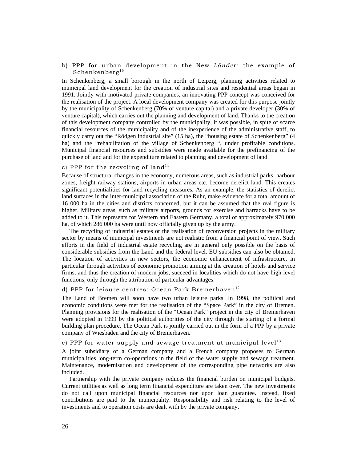b) PPP for urban development in the New *Lände*r: the example of  $Schenkenberg<sup>10</sup>$ 

In Schenkenberg, a small borough in the north of Leipzig, planning activities related to municipal land development for the creation of industrial sites and residential areas began in 1991. Jointly with motivated private companies, an innovating PPP concept was conceived for the realisation of the project. A local development company was created for this purpose jointly by the municipality of Schenkenberg (70% of venture capital) and a private developer (30% of venture capital), which carries out the planning and development of land. Thanks to the creation of this development company controlled by the municipality, it was possible, in spite of scarce financial resources of the municipality and of the inexperience of the administrative staff, to quickly carry out the "Rödgen industrial site" (15 ha), the "housing estate of Schenkenberg" (4 ha) and the "rehabilitation of the village of Schenkenberg ", under profitable conditions. Municipal financial resources and subsidies were made available for the prefinancing of the purchase of land and for the expenditure related to planning and development of land.

# c) PPP for the recycling of land<sup>11</sup>

Because of structural changes in the economy, numerous areas, such as industrial parks, harbour zones, freight railway stations, airports in urban areas etc. become derelict land. This creates significant potentialities for land recycling measures. As an example, the statistics of derelict land surfaces in the inter-municipal association of the Ruhr, make evidence for a total amount of 16 000 ha in the cities and districts concerned, but it can be assumed that the real figure is higher. Military areas, such as military airports, grounds for exercise and barracks have to be added to it. This represents for Western and Eastern Germany, a total of approximately 970 000 ha, of which 286 000 ha were until now officially given up by the army.

 The recycling of industrial estates or the realisation of reconversion projects in the military sector by means of municipal investments are not realistic from a financial point of view. Such efforts in the field of industrial estate recycling are in general only possible on the basis of considerable subsidies from the Land and the federal level. EU subsidies can also be obtained. The location of activities in new sectors, the economic enhancement of infrastructure, in particular through activities of economic promotion aiming at the creation of hotels and service firms, and thus the creation of modern jobs, succeed in localities which do not have high level functions, only through the attribution of particular advantages.

# d) PPP for leisure centres: Ocean Park Bremerhaven<sup>12</sup>

The Land of Bremen will soon have two urban leisure parks. In 1998, the political and economic conditions were met for the realisation of the "Space Park" in the city of Bremen. Planning provisions for the realisation of the "Ocean Park" project in the city of Bremerhaven were adopted in 1999 by the political authorities of the city through the starting of a formal building plan procedure. The Ocean Park is jointly carried out in the form of a PPP by a private company of Wiesbaden and the city of Bremerhaven.

# e) PPP for water supply and sewage treatment at municipal level<sup>13</sup>

A joint subsidiary of a German company and a French company proposes to German municipalities long-term co-operations in the field of the water supply and sewage treatment. Maintenance, modernisation and development of the corresponding pipe networks are also included.

 Partnership with the private company reduces the financial burden on municipal budgets. Current utilities as well as long term financial expenditure are taken over. The new investments do not call upon municipal financial resources nor upon loan guarantee. Instead, fixed contributions are paid to the municipality. Responsibility and risk relating to the level of investments and to operation costs are dealt with by the private company.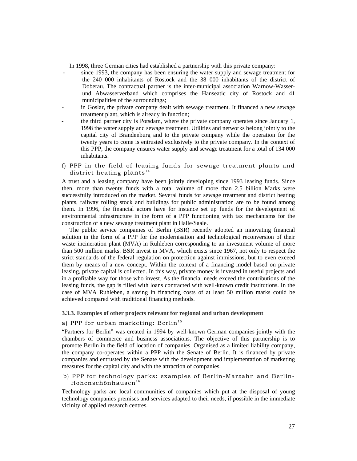In 1998, three German cities had established a partnership with this private company:

- since 1993, the company has been ensuring the water supply and sewage treatment for the 240 000 inhabitants of Rostock and the 38 000 inhabitants of the district of Doberau. The contractual partner is the inter-municipal association Warnow-Wasserund Abwasserverband which comprises the Hanseatic city of Rostock and 41 municipalities of the surroundings;
- in Goslar, the private company dealt with sewage treatment. It financed a new sewage treatment plant, which is already in function;
- the third partner city is Potsdam, where the private company operates since January 1, 1998 the water supply and sewage treatment. Utilities and networks belong jointly to the capital city of Brandenburg and to the private company while the operation for the twenty years to come is entrusted exclusively to the private company. In the context of this PPP, the company ensures water supply and sewage treatment for a total of 134 000 inhabitants.
- f) PPP in the field of leasing funds for sewage treatment plants and district heating plants<sup>14</sup>

A trust and a leasing company have been jointly developing since 1993 leasing funds. Since then, more than twenty funds with a total volume of more than 2.5 billion Marks were successfully introduced on the market. Several funds for sewage treatment and district heating plants, railway rolling stock and buildings for public administration are to be found among them. In 1996, the financial actors have for instance set up funds for the development of environmental infrastructure in the form of a PPP functioning with tax mechanisms for the construction of a new sewage treatment plant in Halle/Saale.

 The public service companies of Berlin (BSR) recently adopted an innovating financial solution in the form of a PPP for the modernisation and technological reconversion of their waste incineration plant (MVA) in Ruhleben corresponding to an investment volume of more than 500 million marks. BSR invest in MVA, which exists since 1967, not only to respect the strict standards of the federal regulation on protection against immissions, but to even exceed them by means of a new concept. Within the context of a financing model based on private leasing, private capital is collected. In this way, private money is invested in useful projects and in a profitable way for those who invest. As the financial needs exceed the contributions of the leasing funds, the gap is filled with loans contracted with well-known credit institutions. In the case of MVA Ruhleben, a saving in financing costs of at least 50 million marks could be achieved compared with traditional financing methods.

# **3.3.3. Examples of other projects relevant for regional and urban development**

# a) PPP for urban marketing: Berlin<sup>15</sup>

"Partners for Berlin" was created in 1994 by well-known German companies jointly with the chambers of commerce and business associations. The objective of this partnership is to promote Berlin in the field of location of companies. Organised as a limited liability company, the company co-operates within a PPP with the Senate of Berlin. It is financed by private companies and entrusted by the Senate with the development and implementation of marketing measures for the capital city and with the attraction of companies.

# b) PPP for technology parks: examples of Berlin-Marzahn and Berlin- $H$ ohenschönhausen $^{16}$

Technology parks are local communities of companies which put at the disposal of young technology companies premises and services adapted to their needs, if possible in the immediate vicinity of applied research centres.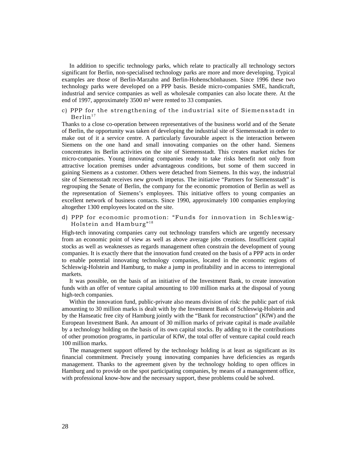In addition to specific technology parks, which relate to practically all technology sectors significant for Berlin, non-specialised technology parks are more and more developing. Typical examples are those of Berlin-Marzahn and Berlin-Hohenschönhausen. Since 1996 these two technology parks were developed on a PPP basis. Beside micro-companies SME, handicraft, industrial and service companies as well as wholesale companies can also locate there. At the end of 1997, approximately 3500 m² were rented to 33 companies.

#### c) PPP for the strengthening of the industrial site of Siemensstadt in  $\mathrm{Berlin}^{17}$

Thanks to a close co-operation between representatives of the business world and of the Senate of Berlin, the opportunity was taken of developing the industrial site of Siemensstadt in order to make out of it a service centre. A particularly favourable aspect is the interaction between Siemens on the one hand and small innovating companies on the other hand. Siemens concentrates its Berlin activities on the site of Siemensstadt. This creates market niches for micro-companies. Young innovating companies ready to take risks benefit not only from attractive location premises under advantageous conditions, but some of them succeed in gaining Siemens as a customer. Others were detached from Siemens. In this way, the industrial site of Siemensstadt receives new growth impetus. The initiative "Partners for Siemensstadt" is regrouping the Senate of Berlin, the company for the economic promotion of Berlin as well as the representation of Siemens's employees. This initiative offers to young companies an excellent network of business contacts. Since 1990, approximately 100 companies employing altogether 1300 employees located on the site.

# d) PPP for economic promotion: "Funds for innovation in Schleswig-Holstein and Hamburg" $18$

High-tech innovating companies carry out technology transfers which are urgently necessary from an economic point of view as well as above average jobs creations. Insufficient capital stocks as well as weaknesses as regards management often constrain the development of young companies. It is exactly there that the innovation fund created on the basis of a PPP acts in order to enable potential innovating technology companies, located in the economic regions of Schleswig-Holstein and Hamburg, to make a jump in profitability and in access to interregional markets.

 It was possible, on the basis of an initiative of the Investment Bank, to create innovation funds with an offer of venture capital amounting to 100 million marks at the disposal of young high-tech companies.

 Within the innovation fund, public-private also means division of risk: the public part of risk amounting to 30 million marks is dealt with by the Investment Bank of Schleswig-Holstein and by the Hanseatic free city of Hamburg jointly with the "Bank for reconstruction" (KfW) and the European Investment Bank. An amount of 30 million marks of private capital is made available by a technology holding on the basis of its own capital stocks. By adding to it the contributions of other promotion programs, in particular of KfW, the total offer of venture capital could reach 100 million marks.

 The management support offered by the technology holding is at least as significant as its financial commitment. Precisely young innovating companies have deficiencies as regards management. Thanks to the agreement given by the technology holding to open offices in Hamburg and to provide on the spot participating companies, by means of a management office, with professional know-how and the necessary support, these problems could be solved.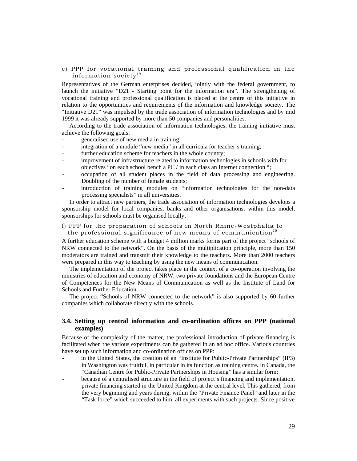## e) PPP for vocational training and professional qualification in the information society $19$

Representatives of the German enterprises decided, jointly with the federal government, to launch the initiative "D21 - Starting point for the information era". The strengthening of vocational training and professional qualification is placed at the centre of this initiative in relation to the opportunities and requirements of the information and knowledge society. The "Initiative D21" was impulsed by the trade association of information technologies and by mid 1999 it was already supported by more than 50 companies and personalities.

 According to the trade association of information technologies, the training initiative must achieve the following goals:

- generalised use of new media in training;
- integration of a module "new media" in all curricula for teacher's training;
- further education scheme for teachers in the whole country;
- improvement of infrastructure related to information technologies in schools with for objectives "on each school bench a PC / in each class an Internet connection ";
- occupation of all student places in the field of data processing and engineering. Doubling of the number of female students;
- introduction of training modules on "information technologies for the non-data processing specialists" in all universities.

 In order to attract new partners, the trade association of information technologies develops a sponsorship model for local companies, banks and other organisations: within this model, sponsorships for schools must be organised locally.

# f) PPP for the preparation of schools in North Rhine-Westphalia to the professional significance of new means of communication<sup>20</sup>

A further education scheme with a budget 4 million marks forms part of the project "schools of NRW connected to the network". On the basis of the multiplication principle, more than 150 moderators are trained and transmit their knowledge to the teachers. More than 2000 teachers were prepared in this way to teaching by using the new means of communication.

 The implementation of the project takes place in the context of a co-operation involving the ministries of education and economy of NRW, two private foundations and the European Centre of Competences for the New Means of Communication as well as the Institute of Land for Schools and Further Education.

 The project "Schools of NRW connected to the network" is also supported by 60 further companies which collaborate directly with the schools.

# **3.4. Setting up central information and co-ordination offices on PPP (national examples)**

Because of the complexity of the matter, the professional introduction of private financing is facilitated when the various experiments can be gathered in an ad hoc office. Various countries have set up such information and co-ordination offices on PPP:

- in the United States, the creation of an "Institute for Public-Private Partnerships" (IP3) in Washington was fruitful, in particular in its function as training centre. In Canada, the "Canadian Centre for Public-Private Partnerships in Housing" has a similar form;
- because of a centralised structure in the field of project's financing and implementation, private financing started in the United Kingdom at the central level. This gathered, from the very beginning and years during, within the "Private Finance Panel" and later in the "Task force" which succeeded to him, all experiments with such projects. Since positive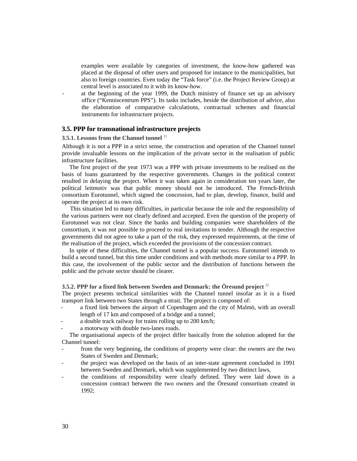examples were available by categories of investment, the know-how gathered was placed at the disposal of other users and proposed for instance to the municipalities, but also to foreign countries. Even today the "Task force" (i.e. the Project Review Group) at central level is associated to it with its know-how.

at the beginning of the year 1999, the Dutch ministry of finance set up an advisory office ("Kenniscentrum PPS"). Its tasks includes, beside the distribution of advice, also the elaboration of comparative calculations, contractual schemes and financial instruments for infrastructure projects.

## **3.5. PPP for transnational infrastructure projects**

# **3.5.1. Lessons from the Channel tunnel** <sup>21</sup>

Although it is not a PPP in a strict sense, the construction and operation of the Channel tunnel provide invaluable lessons on the implication of the private sector in the realisation of public infrastructure facilities.

 The first project of the year 1973 was a PPP with private investments to be realised on the basis of loans guaranteed by the respective governments. Changes in the political context resulted in delaying the project. When it was taken again in consideration ten years later, the political leitmotiv was that public money should not be introduced. The French-British consortium Eurotunnel, which signed the concession, had to plan, develop, finance, build and operate the project at its own risk.

 This situation led to many difficulties, in particular because the role and the responsibility of the various partners were not clearly defined and accepted. Even the question of the property of Eurotunnel was not clear. Since the banks and building companies were shareholders of the consortium, it was not possible to proceed to real invitations to tender. Although the respective governments did not agree to take a part of the risk, they expressed requirements, at the time of the realisation of the project, which exceeded the provisions of the concession contract.

 In spite of these difficulties, the Channel tunnel is a popular success. Eurotunnel intends to build a second tunnel, but this time under conditions and with methods more similar to a PPP. In this case, the involvement of the public sector and the distribution of functions between the public and the private sector should be clearer.

#### **3.5.2. PPP for a fixed link between Sweden and Denmark: the Öresund project** <sup>22</sup>

The project presents technical similarities with the Channel tunnel insofar as it is a fixed transport link between two States through a strait. The project is composed of:

- a fixed link between the airport of Copenhagen and the city of Malmö, with an overall length of 17 km and composed of a bridge and a tunnel;
- a double track railway for trains rolling up to 200 km/h;
- a motorway with double two-lanes roads.

 The organisational aspects of the project differ basically from the solution adopted for the Channel tunnel:

- from the very beginning, the conditions of property were clear: the owners are the two States of Sweden and Denmark;
- the project was developed on the basis of an inter-state agreement concluded in 1991 between Sweden and Denmark, which was supplemented by two distinct laws,
- the conditions of responsibility were clearly defined. They were laid down in a concession contract between the two owners and the Öresund consortium created in 1992;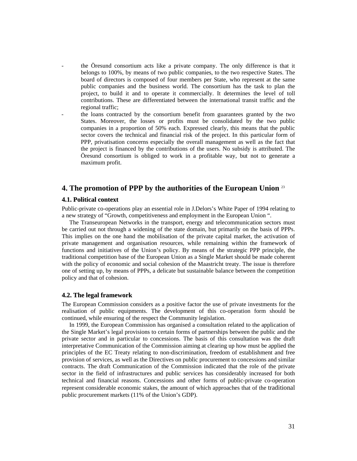- the Öresund consortium acts like a private company. The only difference is that it belongs to 100%, by means of two public companies, to the two respective States. The board of directors is composed of four members per State, who represent at the same public companies and the business world. The consortium has the task to plan the project, to build it and to operate it commercially. It determines the level of toll contributions. These are differentiated between the international transit traffic and the regional traffic;
- the loans contracted by the consortium benefit from guarantees granted by the two States. Moreover, the losses or profits must be consolidated by the two public companies in a proportion of 50% each. Expressed clearly, this means that the public sector covers the technical and financial risk of the project. In this particular form of PPP, privatisation concerns especially the overall management as well as the fact that the project is financed by the contributions of the users. No subsidy is attributed. The Öresund consortium is obliged to work in a profitable way, but not to generate a maximum profit.

# **4. The promotion of PPP by the authorities of the European Union** <sup>23</sup>

#### **4.1. Political context**

Public-private co-operations play an essential role in J.Delors's White Paper of 1994 relating to a new strategy of "Growth, competitiveness and employment in the European Union ".

 The Transeuropean Networks in the transport, energy and telecommunication sectors must be carried out not through a widening of the state domain, but primarily on the basis of PPPs. This implies on the one hand the mobilisation of the private capital market, the activation of private management and organisation resources, while remaining within the framework of functions and initiatives of the Union's policy. By means of the strategic PPP principle, the traditional competition base of the European Union as a Single Market should be made coherent with the policy of economic and social cohesion of the Maastricht treaty. The issue is therefore one of setting up, by means of PPPs, a delicate but sustainable balance between the competition policy and that of cohesion.

## **4.2. The legal framework**

The European Commission considers as a positive factor the use of private investments for the realisation of public equipments. The development of this co-operation form should be continued, while ensuring of the respect the Community legislation.

 In 1999, the European Commission has organised a consultation related to the application of the Single Market's legal provisions to certain forms of partnerships between the public and the private sector and in particular to concessions. The basis of this consultation was the draft interpretative Communication of the Commission aiming at clearing up how must be applied the principles of the EC Treaty relating to non-discrimination, freedom of establishment and free provision of services, as well as the Directives on public procurement to concessions and similar contracts. The draft Communication of the Commission indicated that the role of the private sector in the field of infrastructures and public services has considerably increased for both technical and financial reasons. Concessions and other forms of public-private co-operation represent considerable economic stakes, the amount of which approaches that of the traditional public procurement markets (11% of the Union's GDP).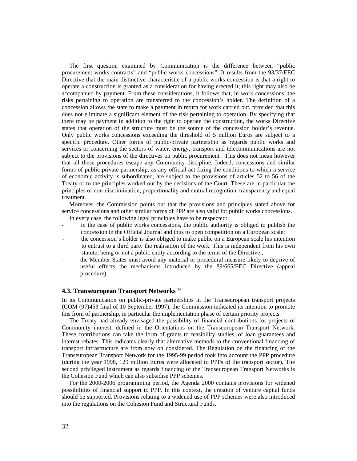The first question examined by Communication is the difference between "public procurement works contracts" and "public works concessions". It results from the 93/37/EEC Directive that the main distinctive characteristic of a public works concession is that a right to operate a construction is granted as a consideration for having erected it; this right may also be accompanied by payment. From these considerations, it follows that, in work concessions, the risks pertaining to operation are transferred to the concession's holder. The definition of a concession allows the state to make a payment in return for work carried out, provided that this does not eliminate a significant element of the risk pertaining to operation. By specifying that there may be payment in addition to the right to operate the construction, the works Directive states that operation of the structure must be the source of the concession holder's revenue. Only public works concessions exceeding the threshold of 5 million Euros are subject to a specific procedure. Other forms of public-private partnership as regards public works and services or concerning the sectors of water, energy, transport and telecommunications are not subject to the provisions of the directives on public procurement . This does not mean however that all these procedures escape any Community discipline. Indeed, concessions and similar forms of public-private partnership, as any official act fixing the conditions to which a service of economic activity is subordinated, are subject to the provisions of articles 52 to 56 of the Treaty or to the principles worked out by the decisions of the Court. These are in particular the principles of non-discrimination, proportionality and mutual recognition, transparency and equal treatment.

 Moreover, the Commission points out that the provisions and principles stated above for service concessions and other similar forms of PPP are also valid for public works concessions.

In every case, the following legal principles have to be respected:

- in the case of public works concessions, the public authority is obliged to publish the concession in the Official Journal and thus to open competition on a European scale;
- the concession's holder is also obliged to make public on a European scale his intention to entrust to a third party the realisation of the work. This is independent from his own statute, being or not a public entity according to the terms of the Directive;,
- the Member States must avoid any material or procedural measure likely to deprive of useful effects the mechanisms introduced by the 89/665/EEC Directive (appeal procedure).

# **4.3. Transeuropean Transport Networks** <sup>24</sup>

In its Communication on public-private partnerships in the Transeuropean transport projects (COM (97)453 final of 10 September 1997), the Commission indicated its intention to promote this from of partnership, in particular the implementation phase of certain priority projects.

 The Treaty had already envisaged the possibility of financial contributions for projects of Community interest, defined in the Orientations on the Transeuropean Transport Network. These contributions can take the form of grants to feasibility studies, of loan guarantees and interest rebates. This indicates clearly that alternative methods to the conventional financing of transport infrastructure are from now on considered. The Regulation on the financing of the Transeuropean Transport Network for the 1995-99 period took into account the PPP procedure (during the year 1998, 129 million Euros were allocated to PPPs of the transport sector). The second privileged instrument as regards financing of the Transeuropean Transport Networks is the Cohesion Fund which can also subsidise PPP schemes.

 For the 2000-2006 programming period, the Agenda 2000 contains provisions for widened possibilities of financial support to PPP. In this context, the creation of venture capital funds should be supported. Provisions relating to a widened use of PPP schemes were also introduced into the regulations on the Cohesion Fund and Structural Funds.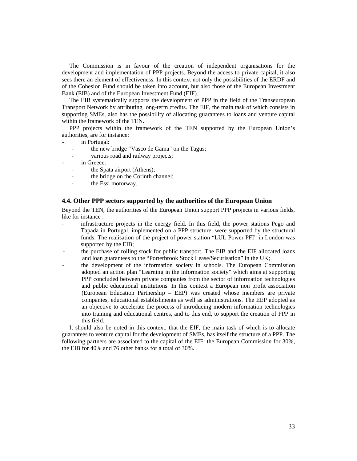The Commission is in favour of the creation of independent organisations for the development and implementation of PPP projects. Beyond the access to private capital, it also sees there an element of effectiveness. In this context not only the possibilities of the ERDF and of the Cohesion Fund should be taken into account, but also those of the European Investment Bank (EIB) and of the European Investment Fund (EIF).

 The EIB systematically supports the development of PPP in the field of the Transeuropean Transport Network by attributing long-term credits. The EIF, the main task of which consists in supporting SMEs, also has the possibility of allocating guarantees to loans and venture capital within the framework of the TEN.

 PPP projects within the framework of the TEN supported by the European Union's authorities, are for instance:

- in Portugal:
	- the new bridge "Vasco de Gama" on the Tagus;
	- various road and railway projects;
- in Greece:
	- the Spata airport (Athens);
	- the bridge on the Corinth channel;
	- the Essi motorway.

# **4.4. Other PPP sectors supported by the authorities of the European Union**

Beyond the TEN, the authorities of the European Union support PPP projects in various fields, like for instance :

- infrastructure projects in the energy field. In this field, the power stations Pego and Tapada in Portugal, implemented on a PPP structure, were supported by the structural funds. The realisation of the project of power station "LUL Power PFI" in London was supported by the EIB;
- the purchase of rolling stock for public transport. The EIB and the EIF allocated loans and loan guarantees to the "Porterbrook Stock Lease/Securisation" in the UK;
- the development of the information society in schools. The European Commission adopted an action plan "Learning in the information society" which aims at supporting PPP concluded between private companies from the sector of information technologies and public educational institutions. In this context a European non profit association (European Education Partnership – EEP) was created whose members are private companies, educational establishments as well as administrations. The EEP adopted as an objective to accelerate the process of introducing modern information technologies into training and educational centres, and to this end, to support the creation of PPP in this field.

 It should also be noted in this context, that the EIF, the main task of which is to allocate guarantees to venture capital for the development of SMEs, has itself the structure of a PPP. The following partners are associated to the capital of the EIF: the European Commission for 30%, the EIB for 40% and 76 other banks for a total of 30%.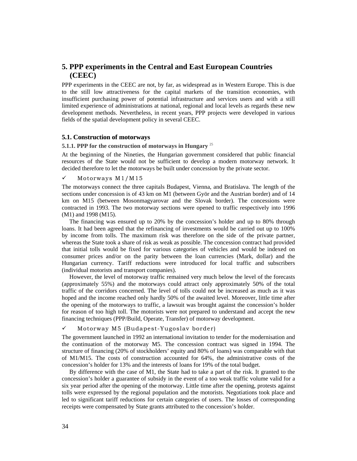# **5. PPP experiments in the Central and East European Countries (CEEC)**

PPP experiments in the CEEC are not, by far, as widespread as in Western Europe. This is due to the still low attractiveness for the capital markets of the transition economies, with insufficient purchasing power of potential infrastructure and services users and with a still limited experience of administrations at national, regional and local levels as regards these new development methods. Nevertheless, in recent years, PPP projects were developed in various fields of the spatial development policy in several CEEC.

# **5.1. Construction of motorways**

# **5.1.1. PPP for the construction of motorways in Hungary** <sup>25</sup>

At the beginning of the Nineties, the Hungarian government considered that public financial resources of the State would not be sufficient to develop a modern motorway network. It decided therefore to let the motorways be built under concession by the private sector.

#### $\checkmark$  Motorways M1/M15

The motorways connect the three capitals Budapest, Vienna, and Bratislava. The length of the sections under concession is of 43 km on M1 (between Györ and the Austrian border) and of 14 km on M15 (between Mosonmagyarovar and the Slovak border). The concessions were contracted in 1993. The two motorway sections were opened to traffic respectively into 1996 (M1) and 1998 (M15).

 The financing was ensured up to 20% by the concession's holder and up to 80% through loans. It had been agreed that the refinancing of investments would be carried out up to 100% by income from tolls. The maximum risk was therefore on the side of the private partner, whereas the State took a share of risk as weak as possible. The concession contract had provided that initial tolls would be fixed for various categories of vehicles and would be indexed on consumer prices and/or on the parity between the loan currencies (Mark, dollar) and the Hungarian currency. Tariff reductions were introduced for local traffic and subscribers (individual motorists and transport companies).

 However, the level of motorway traffic remained very much below the level of the forecasts (approximately 55%) and the motorways could attract only approximately 50% of the total traffic of the corridors concerned. The level of tolls could not be increased as much as it was hoped and the income reached only hardly 50% of the awaited level. Moreover, little time after the opening of the motorways to traffic, a lawsuit was brought against the concession's holder for reason of too high toll. The motorists were not prepared to understand and accept the new financing techniques (PPP/Build, Operate, Transfer) of motorway development.

# $\checkmark$  Motorway M5 (Budapest-Yugoslav border)

The government launched in 1992 an international invitation to tender for the modernisation and the continuation of the motorway M5. The concession contract was signed in 1994. The structure of financing (20% of stockholders' equity and 80% of loans) was comparable with that of M1/M15. The costs of construction accounted for 64%, the administrative costs of the concession's holder for 13% and the interests of loans for 19% of the total budget.

 By difference with the case of M1, the State had to take a part of the risk. It granted to the concession's holder a guarantee of subsidy in the event of a too weak traffic volume valid for a six year period after the opening of the motorway. Little time after the opening, protests against tolls were expressed by the regional population and the motorists. Negotiations took place and led to significant tariff reductions for certain categories of users. The losses of corresponding receipts were compensated by State grants attributed to the concession's holder.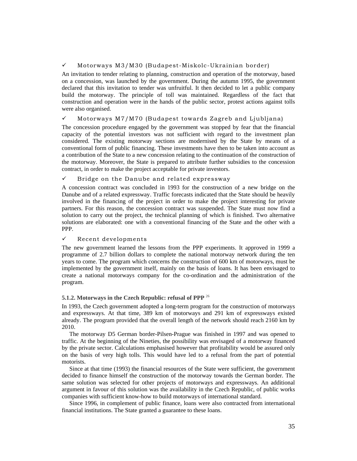# $\checkmark$  Motorways M3/M30 (Budapest-Miskolc-Ukrainian border)

An invitation to tender relating to planning, construction and operation of the motorway, based on a concession, was launched by the government. During the autumn 1995, the government declared that this invitation to tender was unfruitful. It then decided to let a public company build the motorway. The principle of toll was maintained. Regardless of the fact that construction and operation were in the hands of the public sector, protest actions against tolls were also organised.

# $\checkmark$  Motorways M7/M70 (Budapest towards Zagreb and Ljubljana)

The concession procedure engaged by the government was stopped by fear that the financial capacity of the potential investors was not sufficient with regard to the investment plan considered. The existing motorway sections are modernised by the State by means of a conventional form of public financing. These investments have then to be taken into account as a contribution of the State to a new concession relating to the continuation of the construction of the motorway. Moreover, the State is prepared to attribute further subsidies to the concession contract, in order to make the project acceptable for private investors.

# $\checkmark$  Bridge on the Danube and related expressway

A concession contract was concluded in 1993 for the construction of a new bridge on the Danube and of a related expressway. Traffic forecasts indicated that the State should be heavily involved in the financing of the project in order to make the project interesting for private partners. For this reason, the concession contract was suspended. The State must now find a solution to carry out the project, the technical planning of which is finished. Two alternative solutions are elaborated: one with a conventional financing of the State and the other with a PPP.

# $\checkmark$  Recent developments

The new government learned the lessons from the PPP experiments. It approved in 1999 a programme of 2.7 billion dollars to complete the national motorway network during the ten years to come. The program which concerns the construction of 600 km of motorways, must be implemented by the government itself, mainly on the basis of loans. It has been envisaged to create a national motorways company for the co-ordination and the administration of the program.

# **5.1.2. Motorways in the Czech Republic: refusal of PPP** <sup>26</sup>

In 1993, the Czech government adopted a long-term program for the construction of motorways and expressways. At that time, 389 km of motorways and 291 km of expressways existed already. The program provided that the overall length of the network should reach 2160 km by 2010.

 The motorway D5 German border-Pilsen-Prague was finished in 1997 and was opened to traffic. At the beginning of the Nineties, the possibility was envisaged of a motorway financed by the private sector. Calculations emphasised however that profitability would be assured only on the basis of very high tolls. This would have led to a refusal from the part of potential motorists.

 Since at that time (1993) the financial resources of the State were sufficient, the government decided to finance himself the construction of the motorway towards the German border. The same solution was selected for other projects of motorways and expressways. An additional argument in favour of this solution was the availability in the Czech Republic, of public works companies with sufficient know-how to build motorways of international standard.

 Since 1996, in complement of public finance, loans were also contracted from international financial institutions. The State granted a guarantee to these loans.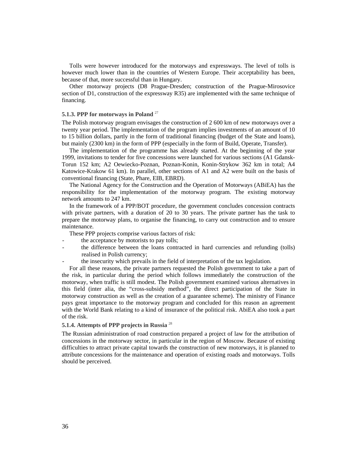Tolls were however introduced for the motorways and expressways. The level of tolls is however much lower than in the countries of Western Europe. Their acceptability has been, because of that, more successful than in Hungary.

 Other motorway projects (D8 Prague-Dresden; construction of the Prague-Mirosovice section of D1, construction of the expressway R35) are implemented with the same technique of financing.

#### **5.1.3. PPP for motorways in Poland** <sup>27</sup>

The Polish motorway program envisages the construction of 2 600 km of new motorways over a twenty year period. The implementation of the program implies investments of an amount of 10 to 15 billion dollars, partly in the form of traditional financing (budget of the State and loans), but mainly (2300 km) in the form of PPP (especially in the form of Build, Operate, Transfer).

 The implementation of the programme has already started. At the beginning of the year 1999, invitations to tender for five concessions were launched for various sections (A1 Gdansk-Torun 152 km; A2 Oewiecko-Poznan, Poznan-Konin, Konin-Strykow 362 km in total; A4 Katowice-Krakow 61 km). In parallel, other sections of A1 and A2 were built on the basis of conventional financing (State, Phare, EIB, EBRD).

 The National Agency for the Construction and the Operation of Motorways (ABiEA) has the responsibility for the implementation of the motorway program. The existing motorway network amounts to 247 km.

 In the framework of a PPP/BOT procedure, the government concludes concession contracts with private partners, with a duration of 20 to 30 years. The private partner has the task to prepare the motorway plans, to organise the financing, to carry out construction and to ensure maintenance.

These PPP projects comprise various factors of risk:

- the acceptance by motorists to pay tolls;
- the difference between the loans contracted in hard currencies and refunding (tolls) realised in Polish currency;
- the insecurity which prevails in the field of interpretation of the tax legislation.

 For all these reasons, the private partners requested the Polish government to take a part of the risk, in particular during the period which follows immediately the construction of the motorway, when traffic is still modest. The Polish government examined various alternatives in this field (inter alia, the "cross-subsidy method", the direct participation of the State in motorway construction as well as the creation of a guarantee scheme). The ministry of Finance pays great importance to the motorway program and concluded for this reason an agreement with the World Bank relating to a kind of insurance of the political risk. AbiEA also took a part of the risk.

## **5.1.4. Attempts of PPP projects in Russia** <sup>28</sup>

The Russian administration of road construction prepared a project of law for the attribution of concessions in the motorway sector, in particular in the region of Moscow. Because of existing difficulties to attract private capital towards the construction of new motorways, it is planned to attribute concessions for the maintenance and operation of existing roads and motorways. Tolls should be perceived.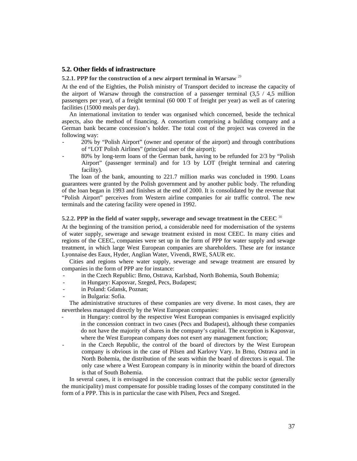#### **5.2. Other fields of infrastructure**

**5.2.1. PPP for the construction of a new airport terminal in Warsaw** <sup>29</sup>

At the end of the Eighties, the Polish ministry of Transport decided to increase the capacity of the airport of Warsaw through the construction of a passenger terminal  $(3,5 / 4,5$  million passengers per year), of a freight terminal (60 000 T of freight per year) as well as of catering facilities (15000 meals per day).

 An international invitation to tender was organised which concerned, beside the technical aspects, also the method of financing. A consortium comprising a building company and a German bank became concession's holder. The total cost of the project was covered in the following way:

- 20% by "Polish Airport" (owner and operator of the airport) and through contributions of "LOT Polish Airlines" (principal user of the airport);
- 80% by long-term loans of the German bank, having to be refunded for 2/3 by "Polish Airport" (passenger terminal) and for 1/3 by LOT (freight terminal and catering facility).

 The loan of the bank, amounting to 221.7 million marks was concluded in 1990. Loans guarantees were granted by the Polish government and by another public body. The refunding of the loan began in 1993 and finishes at the end of 2000. It is consolidated by the revenue that "Polish Airport" perceives from Western airline companies for air traffic control. The new terminals and the catering facility were opened in 1992.

# **5.2.2. PPP in the field of water supply, sewerage and sewage treatment in the CEEC** <sup>30</sup>

At the beginning of the transition period, a considerable need for modernisation of the systems of water supply, sewerage and sewage treatment existed in most CEEC. In many cities and regions of the CEEC, companies were set up in the form of PPP for water supply and sewage treatment, in which large West European companies are shareholders. These are for instance Lyonnaise des Eaux, Hyder, Anglian Water, Vivendi, RWE, SAUR etc.

 Cities and regions where water supply, sewerage and sewage treatment are ensured by companies in the form of PPP are for instance:

- in the Czech Republic: Brno, Ostrava, Karlsbad, North Bohemia, South Bohemia;
- in Hungary: Kaposvar, Szeged, Pecs, Budapest;
- in Poland: Gdansk, Poznan;
- in Bulgaria: Sofia.

 The administrative structures of these companies are very diverse. In most cases, they are nevertheless managed directly by the West European companies:

- in Hungary: control by the respective West European companies is envisaged explicitly in the concession contract in two cases (Pecs and Budapest), although these companies do not have the majority of shares in the company's capital. The exception is Kaposvar, where the West European company does not exert any management function;
- in the Czech Republic, the control of the board of directors by the West European company is obvious in the case of Pilsen and Karlovy Vary. In Brno, Ostrava and in North Bohemia, the distribution of the seats within the board of directors is equal. The only case where a West European company is in minority within the board of directors is that of South Bohemia.

 In several cases, it is envisaged in the concession contract that the public sector (generally the municipality) must compensate for possible trading losses of the company constituted in the form of a PPP. This is in particular the case with Pilsen, Pecs and Szeged.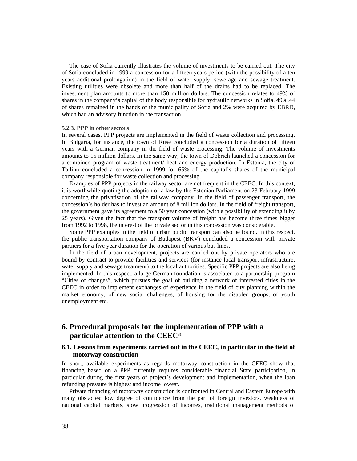The case of Sofia currently illustrates the volume of investments to be carried out. The city of Sofia concluded in 1999 a concession for a fifteen years period (with the possibility of a ten years additional prolongation) in the field of water supply, sewerage and sewage treatment. Existing utilities were obsolete and more than half of the drains had to be replaced. The investment plan amounts to more than 150 million dollars. The concession relates to 49% of shares in the company's capital of the body responsible for hydraulic networks in Sofia. 49%.44 of shares remained in the hands of the municipality of Sofia and 2% were acquired by EBRD, which had an advisory function in the transaction.

#### **5.2.3. PPP in other sectors**

In several cases, PPP projects are implemented in the field of waste collection and processing. In Bulgaria, for instance, the town of Ruse concluded a concession for a duration of fifteen years with a German company in the field of waste processing. The volume of investments amounts to 15 million dollars. In the same way, the town of Dobrich launched a concession for a combined program of waste treatment/ heat and energy production. In Estonia, the city of Tallinn concluded a concession in 1999 for 65% of the capital's shares of the municipal company responsible for waste collection and processing.

 Examples of PPP projects in the railway sector are not frequent in the CEEC. In this context, it is worthwhile quoting the adoption of a law by the Estonian Parliament on 23 February 1999 concerning the privatisation of the railway company. In the field of passenger transport, the concession's holder has to invest an amount of 8 million dollars. In the field of freight transport, the government gave its agreement to a 50 year concession (with a possibility of extending it by 25 years). Given the fact that the transport volume of freight has become three times bigger from 1992 to 1998, the interest of the private sector in this concession was considerable.

 Some PPP examples in the field of urban public transport can also be found. In this respect, the public transportation company of Budapest (BKV) concluded a concession with private partners for a five year duration for the operation of various bus lines.

 In the field of urban development, projects are carried out by private operators who are bound by contract to provide facilities and services (for instance local transport infrastructure, water supply and sewage treatment) to the local authorities. Specific PPP projects are also being implemented. In this respect, a large German foundation is associated to a partnership program "Cities of changes", which pursues the goal of building a network of interested cities in the CEEC in order to implement exchanges of experience in the field of city planning within the market economy, of new social challenges, of housing for the disabled groups, of youth unemployment etc.

# **6. Procedural proposals for the implementation of PPP with a particular attention to the CEEC**<sup>31</sup>

# **6.1. Lessons from experiments carried out in the CEEC, in particular in the field of motorway construction**

In short, available experiments as regards motorway construction in the CEEC show that financing based on a PPP currently requires considerable financial State participation, in particular during the first years of project's development and implementation, when the loan refunding pressure is highest and income lowest.

 Private financing of motorway construction is confronted in Central and Eastern Europe with many obstacles: low degree of confidence from the part of foreign investors, weakness of national capital markets, slow progression of incomes, traditional management methods of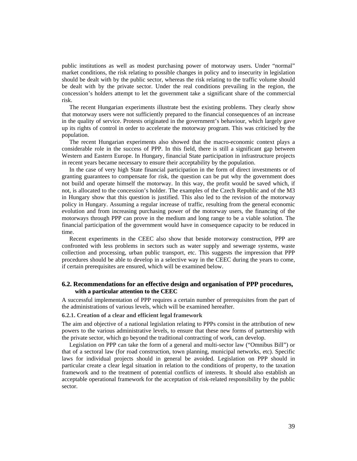public institutions as well as modest purchasing power of motorway users. Under "normal" market conditions, the risk relating to possible changes in policy and to insecurity in legislation should be dealt with by the public sector, whereas the risk relating to the traffic volume should be dealt with by the private sector. Under the real conditions prevailing in the region, the concession's holders attempt to let the government take a significant share of the commercial risk.

 The recent Hungarian experiments illustrate best the existing problems. They clearly show that motorway users were not sufficiently prepared to the financial consequences of an increase in the quality of service. Protests originated in the government's behaviour, which largely gave up its rights of control in order to accelerate the motorway program. This was criticised by the population.

 The recent Hungarian experiments also showed that the macro-economic context plays a considerable role in the success of PPP. In this field, there is still a significant gap between Western and Eastern Europe. In Hungary, financial State participation in infrastructure projects in recent years became necessary to ensure their acceptability by the population.

 In the case of very high State financial participation in the form of direct investments or of granting guarantees to compensate for risk, the question can be put why the government does not build and operate himself the motorway. In this way, the profit would be saved which, if not, is allocated to the concession's holder. The examples of the Czech Republic and of the M3 in Hungary show that this question is justified. This also led to the revision of the motorway policy in Hungary. Assuming a regular increase of traffic, resulting from the general economic evolution and from increasing purchasing power of the motorway users, the financing of the motorways through PPP can prove in the medium and long range to be a viable solution. The financial participation of the government would have in consequence capacity to be reduced in time.

 Recent experiments in the CEEC also show that beside motorway construction, PPP are confronted with less problems in sectors such as water supply and sewerage systems, waste collection and processing, urban public transport, etc. This suggests the impression that PPP procedures should be able to develop in a selective way in the CEEC during the years to come, if certain prerequisites are ensured, which will be examined below.

# **6.2. Recommendations for an effective design and organisation of PPP procedures, with a particular attention to the CEEC**

A successful implementation of PPP requires a certain number of prerequisites from the part of the administrations of various levels, which will be examined hereafter.

#### **6.2.1. Creation of a clear and efficient legal framework**

The aim and objective of a national legislation relating to PPPs consist in the attribution of new powers to the various administrative levels, to ensure that these new forms of partnership with the private sector, which go beyond the traditional contracting of work, can develop.

 Legislation on PPP can take the form of a general and multi-sector law ("Omnibus Bill") or that of a sectoral law (for road construction, town planning, municipal networks, etc). Specific laws for individual projects should in general be avoided. Legislation on PPP should in particular create a clear legal situation in relation to the conditions of property, to the taxation framework and to the treatment of potential conflicts of interests. It should also establish an acceptable operational framework for the acceptation of risk-related responsibility by the public sector.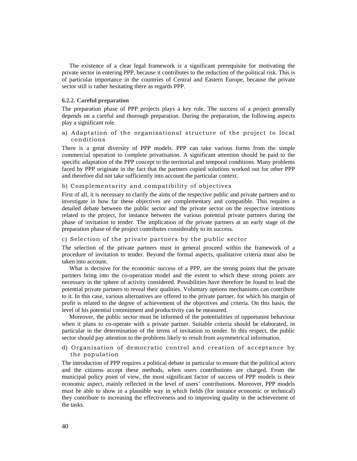The existence of a clear legal framework is a significant prerequisite for motivating the private sector in entering PPP, because it contributes to the reduction of the political risk. This is of particular importance in the countries of Central and Eastern Europe, because the private sector still is rather hesitating there as regards PPP.

#### **6.2.2. Careful preparation**

The preparation phase of PPP projects plays a key role. The success of a project generally depends on a careful and thorough preparation. During the preparation, the following aspects play a significant role.

# a) Adaptation of the organisational structure of the project to local conditions

There is a great diversity of PPP models. PPP can take various forms from the simple commercial operation to complete privatisation. A significant attention should be paid to the specific adaptation of the PPP concept to the territorial and temporal conditions. Many problems faced by PPP originate in the fact that the partners copied solutions worked out for other PPP and therefore did not take sufficiently into account the particular context.

# b) Complementarity and compatibility of objectives

First of all, it is necessary to clarify the aims of the respective public and private partners and to investigate in how far these objectives are complementary and compatible. This requires a detailed debate between the public sector and the private sector on the respective intentions related to the project, for instance between the various potential private partners during the phase of invitation to tender. The implication of the private partners at an early stage of the preparation phase of the project contributes considerably to its success.

#### c) Selection of the private partners by the public sector

The selection of the private partners must in general proceed within the framework of a procedure of invitation to tender. Beyond the formal aspects, qualitative criteria must also be taken into account.

 What is decisive for the economic success of a PPP, are the strong points that the private partners bring into the co-operation model and the extent to which these strong points are necessary in the sphere of activity considered. Possibilities have therefore be found to lead the potential private partners to reveal their qualities. Voluntary options mechanisms can contribute to it. In this case, various alternatives are offered to the private partner, for which his margin of profit is related to the degree of achievement of the objectives and criteria. On this basis, the level of his potential commitment and productivity can be measured.

 Moreover, the public sector must be informed of the potentialities of opportunist behaviour when it plans to co-operate with a private partner. Suitable criteria should be elaborated, in particular in the determination of the terms of invitation to tender. In this respect, the public sector should pay attention to the problems likely to result from asymmetrical information.

# d) Organisation of democratic control and creation of acceptance by the population

The introduction of PPP requires a political debate in particular to ensure that the political actors and the citizens accept these methods, when users contributions are charged. From the municipal policy point of view, the most significant factor of success of PPP models is their economic aspect, mainly reflected in the level of users' contributions. Moreover, PPP models must be able to show in a plausible way in which fields (for instance economic or technical) they contribute to increasing the effectiveness and to improving quality in the achievement of the tasks.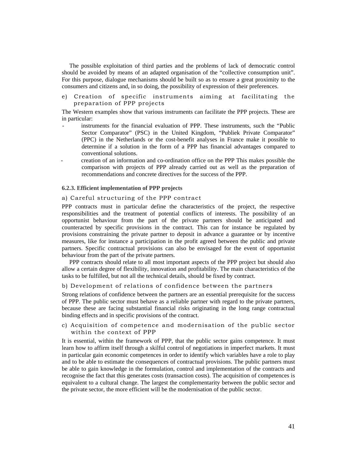The possible exploitation of third parties and the problems of lack of democratic control should be avoided by means of an adapted organisation of the "collective consumption unit". For this purpose, dialogue mechanisms should be built so as to ensure a great proximity to the consumers and citizens and, in so doing, the possibility of expression of their preferences.

e) Creation of specific instruments aiming at facilitating the preparation of PPP projects

The Western examples show that various instruments can facilitate the PPP projects. These are in particular:

- instruments for the financial evaluation of PPP. These instruments, such the "Public Sector Comparator" (PSC) in the United Kingdom, "Publiek Private Comparator" (PPC) in the Netherlands or the cost-benefit analyses in France make it possible to determine if a solution in the form of a PPP has financial advantages compared to conventional solutions.
- creation of an information and co-ordination office on the PPP This makes possible the comparison with projects of PPP already carried out as well as the preparation of recommendations and concrete directives for the success of the PPP.

#### **6.2.3. Efficient implementation of PPP projects**

# a) Careful structuring of the PPP contract

PPP contracts must in particular define the characteristics of the project, the respective responsibilities and the treatment of potential conflicts of interests. The possibility of an opportunist behaviour from the part of the private partners should be anticipated and counteracted by specific provisions in the contract. This can for instance be regulated by provisions constraining the private partner to deposit in advance a guarantee or by incentive measures, like for instance a participation in the profit agreed between the public and private partners. Specific contractual provisions can also be envisaged for the event of opportunist behaviour from the part of the private partners.

 PPP contracts should relate to all most important aspects of the PPP project but should also allow a certain degree of flexibility, innovation and profitability. The main characteristics of the tasks to be fulfilled, but not all the technical details, should be fixed by contract.

#### b) Development of relations of confidence between the partners

Strong relations of confidence between the partners are an essential prerequisite for the success of PPP. The public sector must behave as a reliable partner with regard to the private partners, because these are facing substantial financial risks originating in the long range contractual binding effects and in specific provisions of the contract.

# c) Acquisition of competence and modernisation of the public sector within the context of PPP

It is essential, within the framework of PPP, that the public sector gains competence. It must learn how to affirm itself through a skilful control of negotiations in imperfect markets. It must in particular gain economic competences in order to identify which variables have a role to play and to be able to estimate the consequences of contractual provisions. The public partners must be able to gain knowledge in the formulation, control and implementation of the contracts and recognise the fact that this generates costs (transaction costs). The acquisition of competences is equivalent to a cultural change. The largest the complementarity between the public sector and the private sector, the more efficient will be the modernisation of the public sector.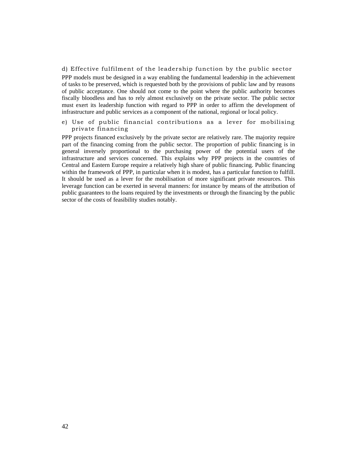#### d) Effective fulfilment of the leadership function by the public sector

PPP models must be designed in a way enabling the fundamental leadership in the achievement of tasks to be preserved, which is requested both by the provisions of public law and by reasons of public acceptance. One should not come to the point where the public authority becomes fiscally bloodless and has to rely almost exclusively on the private sector. The public sector must exert its leadership function with regard to PPP in order to affirm the development of infrastructure and public services as a component of the national, regional or local policy.

e) Use of public financial contributions as a lever for mobilising private financing

PPP projects financed exclusively by the private sector are relatively rare. The majority require part of the financing coming from the public sector. The proportion of public financing is in general inversely proportional to the purchasing power of the potential users of the infrastructure and services concerned. This explains why PPP projects in the countries of Central and Eastern Europe require a relatively high share of public financing. Public financing within the framework of PPP, in particular when it is modest, has a particular function to fulfill. It should be used as a lever for the mobilisation of more significant private resources. This leverage function can be exerted in several manners: for instance by means of the attribution of public guarantees to the loans required by the investments or through the financing by the public sector of the costs of feasibility studies notably.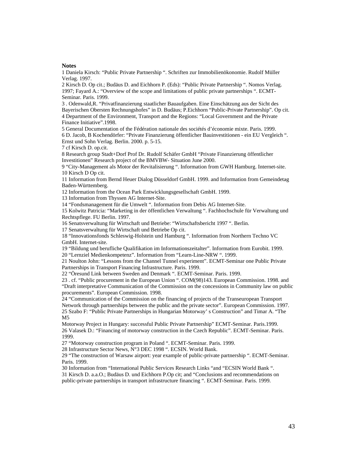#### **Notes**

1 Daniela Kirsch: "Public Private Partnership ". Schriften zur Immobilienökonomie. Rudolf Müller Verlag. 1997.

2 Kirsch D. Op cit.; Budäus D. and Eichhorn P. (Eds): "Public Private Partnership ". Nomos Verlag. 1997; Fayard A.: "Overview of the scope and limitations of public private partnerships ". ECMT-Seminar. Paris. 1999.

3 . Odenwald,R. "Privatfinanzierung staatlicher Bauaufgaben. Eine Einschätzung aus der Sicht des Bayerischen Obersten Rechnungshofes" in D. Budäus; P.Eichhorn "Public-Private Partnership". Op cit. 4 Department of the Environment, Transport and the Regions: "Local Government and the Private Finance Initiative".1998.

5 General Documentation of the Fédération nationale des sociétés d'économie mixte. Paris. 1999. 6 D. Jacob, B Kochendörfer: "Private Finanzierung öffentlicher Bauinvestitionen - ein EU Vergleich ". Ernst und Sohn Verlag. Berlin. 2000. p. 5-15.

7 cf Kirsch D. op.cit.

8 Research group Stadt+Dorf Prof Dr. Rudolf Schäfer GmbH "Private Finanzierung öffentlicher Investitionen" Research project of the BMVBW- Situation June 2000.

9 "City-Management als Motor der Revitalisierung ". Information from GWH Hamburg. Internet-site. 10 Kirsch D Op cit.

11 Information from Bernd Heuer Dialog Düsseldorf GmbH. 1999. and Information from Gemeindetag Baden-Württemberg.

12 Information from the Ocean Park Entwicklungsgesellschaft GmbH. 1999.

13 Information from Thyssen AG Internet-Site.

14 "Fondsmanagement für die Umwelt ". Information from Debis AG Internet-Site.

15 Kolwitz Patricia: "Marketing in der öffentlichen Verwaltung ". Fachhochschule für Verwaltung und Rechtspflege. FU Berlin. 1997.

16 Senatsverwaltung für Wirtschaft und Betriebe: "Wirtschaftsbericht 1997 ". Berlin.

17 Senatsverwaltung für Wirtschaft und Betriebe Op cit.

18 "Innovationsfonds Schleswig-Holstein und Hamburg ". Information from Northern Techno VC GmbH. Internet-site.

19 "Bildung und berufliche Qualifikation im Informationszeitalter". Information from Eurobit. 1999. 20 "Lernziel Medienkompetenz". Information from "Learn-Line-NRW ". 1999.

21 Noulton John: "Lessons from the Channel Tunnel experiment". ECMT-Seminar one Public Private Partnerships in Transport Financing Infrastructure. Paris. 1999.

22 "Öresund Link between Sweden and Denmark ". ECMT-Seminar. Paris. 1999.

23 . cf. "Public procurement in the European Union ". COM(98)143. European Commission. 1998. and "Draft interpretative Communication of the Commission on the concessions in Community law on public procurements". European Commission. 1998.

24 "Communication of the Commission on the financing of projects of the Transeuropean Transport Network through partnerships between the public and the private sector". European Commission. 1997. 25 Szabo F: "Public Private Partnerships in Hungarian Motorway' s Construction" and Timar A. "The M5

Motorway Project in Hungary: successful Public Private Partnership" ECMT-Seminar. Paris.1999. 26 Valasek D.: "Financing of motorway construction in the Czech Republic". ECMT-Seminar. Paris. 1999.

27 "Motorway construction program in Poland ". ECMT-Seminar. Paris. 1999.

28 Infrastructure Sector News, N°3 DEC 1998 ". ECSIN. World Bank.

29 "The construction of Warsaw airport: year example of public-private partnership ". ECMT-Seminar. Paris. 1999.

30 Information from "International Public Services Research Links "and "ECSIN World Bank ".

31 Kirsch D. a.a.O.; Budäus D. und Eichhorn P.Op cit; and "Conclusions and recommendations on public-private partnerships in transport infrastructure financing ". ECMT-Seminar. Paris. 1999.